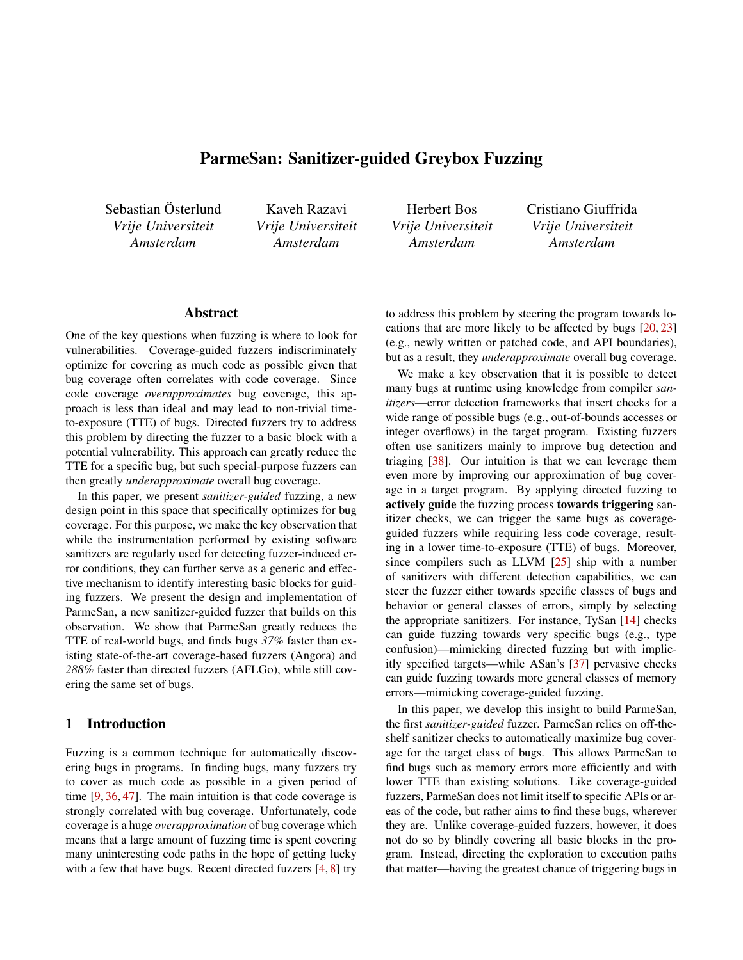# ParmeSan: Sanitizer-guided Greybox Fuzzing

Sebastian Österlund *Vrije Universiteit Amsterdam*

Kaveh Razavi *Vrije Universiteit Amsterdam*

Herbert Bos *Vrije Universiteit Amsterdam*

Cristiano Giuffrida *Vrije Universiteit Amsterdam*

## Abstract

One of the key questions when fuzzing is where to look for vulnerabilities. Coverage-guided fuzzers indiscriminately optimize for covering as much code as possible given that bug coverage often correlates with code coverage. Since code coverage *overapproximates* bug coverage, this approach is less than ideal and may lead to non-trivial timeto-exposure (TTE) of bugs. Directed fuzzers try to address this problem by directing the fuzzer to a basic block with a potential vulnerability. This approach can greatly reduce the TTE for a specific bug, but such special-purpose fuzzers can then greatly *underapproximate* overall bug coverage.

In this paper, we present *sanitizer-guided* fuzzing, a new design point in this space that specifically optimizes for bug coverage. For this purpose, we make the key observation that while the instrumentation performed by existing software sanitizers are regularly used for detecting fuzzer-induced error conditions, they can further serve as a generic and effective mechanism to identify interesting basic blocks for guiding fuzzers. We present the design and implementation of ParmeSan, a new sanitizer-guided fuzzer that builds on this observation. We show that ParmeSan greatly reduces the TTE of real-world bugs, and finds bugs *37%* faster than existing state-of-the-art coverage-based fuzzers (Angora) and *288%* faster than directed fuzzers (AFLGo), while still covering the same set of bugs.

### 1 Introduction

Fuzzing is a common technique for automatically discovering bugs in programs. In finding bugs, many fuzzers try to cover as much code as possible in a given period of time [[9,](#page-13-0) [36](#page-15-0), [47](#page-15-1)]. The main intuition is that code coverage is strongly correlated with bug coverage. Unfortunately, code coverage is a huge *overapproximation* of bug coverage which means that a large amount of fuzzing time is spent covering many uninteresting code paths in the hope of getting lucky with a few that have bugs. Recent directed fuzzers [\[4](#page-13-1), [8\]](#page-13-2) try

to address this problem by steering the program towards locations that are more likely to be affected by bugs [\[20](#page-14-0), [23\]](#page-14-1) (e.g., newly written or patched code, and API boundaries), but as a result, they *underapproximate* overall bug coverage.

We make a key observation that it is possible to detect many bugs at runtime using knowledge from compiler *sanitizers*—error detection frameworks that insert checks for a wide range of possible bugs (e.g., out-of-bounds accesses or integer overflows) in the target program. Existing fuzzers often use sanitizers mainly to improve bug detection and triaging [\[38](#page-15-2)]. Our intuition is that we can leverage them even more by improving our approximation of bug coverage in a target program. By applying directed fuzzing to actively guide the fuzzing process towards triggering sanitizer checks, we can trigger the same bugs as coverageguided fuzzers while requiring less code coverage, resulting in a lower time-to-exposure (TTE) of bugs. Moreover, since compilers such as LLVM [\[25](#page-14-2)] ship with a number of sanitizers with different detection capabilities, we can steer the fuzzer either towards specific classes of bugs and behavior or general classes of errors, simply by selecting the appropriate sanitizers. For instance, TySan [\[14](#page-14-3)] checks can guide fuzzing towards very specific bugs (e.g., type confusion)—mimicking directed fuzzing but with implicitly specified targets—while ASan's [\[37](#page-15-3)] pervasive checks can guide fuzzing towards more general classes of memory errors—mimicking coverage-guided fuzzing.

In this paper, we develop this insight to build ParmeSan, the first *sanitizer-guided* fuzzer. ParmeSan relies on off-theshelf sanitizer checks to automatically maximize bug coverage for the target class of bugs. This allows ParmeSan to find bugs such as memory errors more efficiently and with lower TTE than existing solutions. Like coverage-guided fuzzers, ParmeSan does not limit itself to specific APIs or areas of the code, but rather aims to find these bugs, wherever they are. Unlike coverage-guided fuzzers, however, it does not do so by blindly covering all basic blocks in the program. Instead, directing the exploration to execution paths that matter—having the greatest chance of triggering bugs in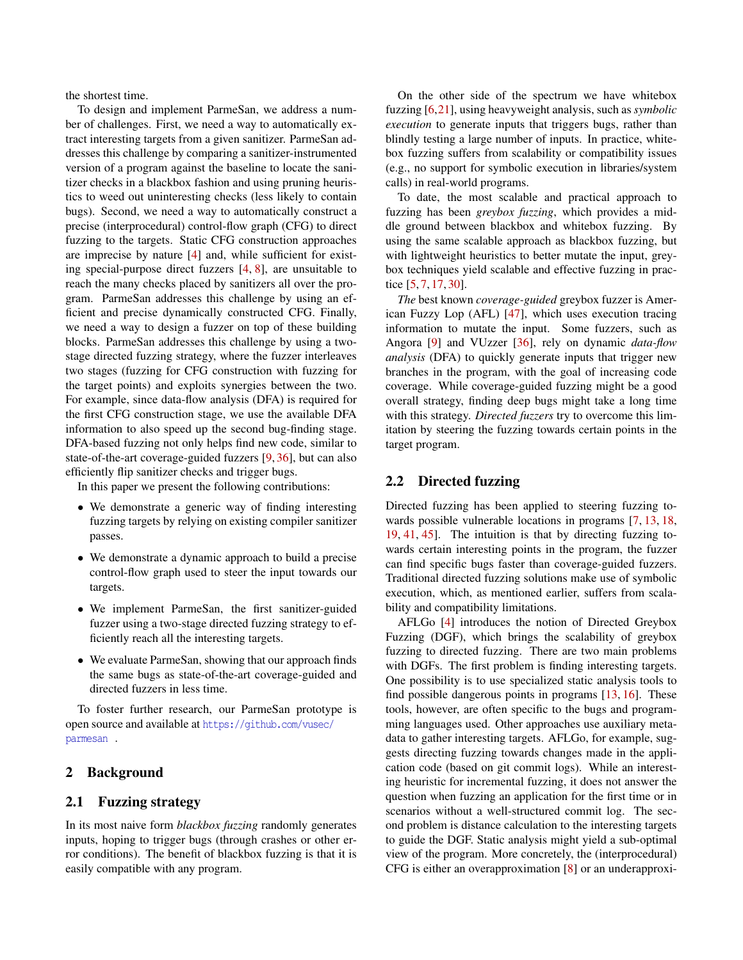the shortest time.

To design and implement ParmeSan, we address a number of challenges. First, we need a way to automatically extract interesting targets from a given sanitizer. ParmeSan addresses this challenge by comparing a sanitizer-instrumented version of a program against the baseline to locate the sanitizer checks in a blackbox fashion and using pruning heuristics to weed out uninteresting checks (less likely to contain bugs). Second, we need a way to automatically construct a precise (interprocedural) control-flow graph (CFG) to direct fuzzing to the targets. Static CFG construction approaches are imprecise by nature [[4\]](#page-13-1) and, while sufficient for existing special-purpose direct fuzzers [\[4](#page-13-1), [8\]](#page-13-2), are unsuitable to reach the many checks placed by sanitizers all over the program. ParmeSan addresses this challenge by using an efficient and precise dynamically constructed CFG. Finally, we need a way to design a fuzzer on top of these building blocks. ParmeSan addresses this challenge by using a twostage directed fuzzing strategy, where the fuzzer interleaves two stages (fuzzing for CFG construction with fuzzing for the target points) and exploits synergies between the two. For example, since data-flow analysis (DFA) is required for the first CFG construction stage, we use the available DFA information to also speed up the second bug-finding stage. DFA-based fuzzing not only helps find new code, similar to state-of-the-art coverage-guided fuzzers [\[9](#page-13-0), [36](#page-15-0)], but can also efficiently flip sanitizer checks and trigger bugs.

In this paper we present the following contributions:

- *•* We demonstrate a generic way of finding interesting fuzzing targets by relying on existing compiler sanitizer passes.
- *•* We demonstrate a dynamic approach to build a precise control-flow graph used to steer the input towards our targets.
- *•* We implement ParmeSan, the first sanitizer-guided fuzzer using a two-stage directed fuzzing strategy to efficiently reach all the interesting targets.
- *•* We evaluate ParmeSan, showing that our approach finds the same bugs as state-of-the-art coverage-guided and directed fuzzers in less time.

To foster further research, our ParmeSan prototype is open source and available at [https://github.com/vusec/](https://github.com/vusec/parmesan) [parmesan](https://github.com/vusec/parmesan) .

# 2 Background

### 2.1 Fuzzing strategy

In its most naive form *blackbox fuzzing* randomly generates inputs, hoping to trigger bugs (through crashes or other error conditions). The benefit of blackbox fuzzing is that it is easily compatible with any program.

On the other side of the spectrum we have whitebox fuzzing [\[6](#page-13-3),[21](#page-14-4)], using heavyweight analysis, such as *symbolic execution* to generate inputs that triggers bugs, rather than blindly testing a large number of inputs. In practice, whitebox fuzzing suffers from scalability or compatibility issues (e.g., no support for symbolic execution in libraries/system calls) in real-world programs.

To date, the most scalable and practical approach to fuzzing has been *greybox fuzzing*, which provides a middle ground between blackbox and whitebox fuzzing. By using the same scalable approach as blackbox fuzzing, but with lightweight heuristics to better mutate the input, greybox techniques yield scalable and effective fuzzing in practice [\[5](#page-13-4), [7,](#page-13-5) [17,](#page-14-5) [30](#page-14-6)].

*The* best known *coverage-guided* greybox fuzzer is American Fuzzy Lop (AFL) [[47\]](#page-15-1), which uses execution tracing information to mutate the input. Some fuzzers, such as Angora [[9\]](#page-13-0) and VUzzer [\[36](#page-15-0)], rely on dynamic *data-flow analysis* (DFA) to quickly generate inputs that trigger new branches in the program, with the goal of increasing code coverage. While coverage-guided fuzzing might be a good overall strategy, finding deep bugs might take a long time with this strategy. *Directed fuzzers* try to overcome this limitation by steering the fuzzing towards certain points in the target program.

### 2.2 Directed fuzzing

Directed fuzzing has been applied to steering fuzzing towards possible vulnerable locations in programs [[7,](#page-13-5) [13](#page-14-7), [18,](#page-14-8) [19,](#page-14-9) [41,](#page-15-4) [45\]](#page-15-5). The intuition is that by directing fuzzing towards certain interesting points in the program, the fuzzer can find specific bugs faster than coverage-guided fuzzers. Traditional directed fuzzing solutions make use of symbolic execution, which, as mentioned earlier, suffers from scalability and compatibility limitations.

AFLGo [[4\]](#page-13-1) introduces the notion of Directed Greybox Fuzzing (DGF), which brings the scalability of greybox fuzzing to directed fuzzing. There are two main problems with DGFs. The first problem is finding interesting targets. One possibility is to use specialized static analysis tools to find possible dangerous points in programs [\[13](#page-14-7), [16](#page-14-10)]. These tools, however, are often specific to the bugs and programming languages used. Other approaches use auxiliary metadata to gather interesting targets. AFLGo, for example, suggests directing fuzzing towards changes made in the application code (based on git commit logs). While an interesting heuristic for incremental fuzzing, it does not answer the question when fuzzing an application for the first time or in scenarios without a well-structured commit log. The second problem is distance calculation to the interesting targets to guide the DGF. Static analysis might yield a sub-optimal view of the program. More concretely, the (interprocedural) CFG is either an overapproximation [[8\]](#page-13-2) or an underapproxi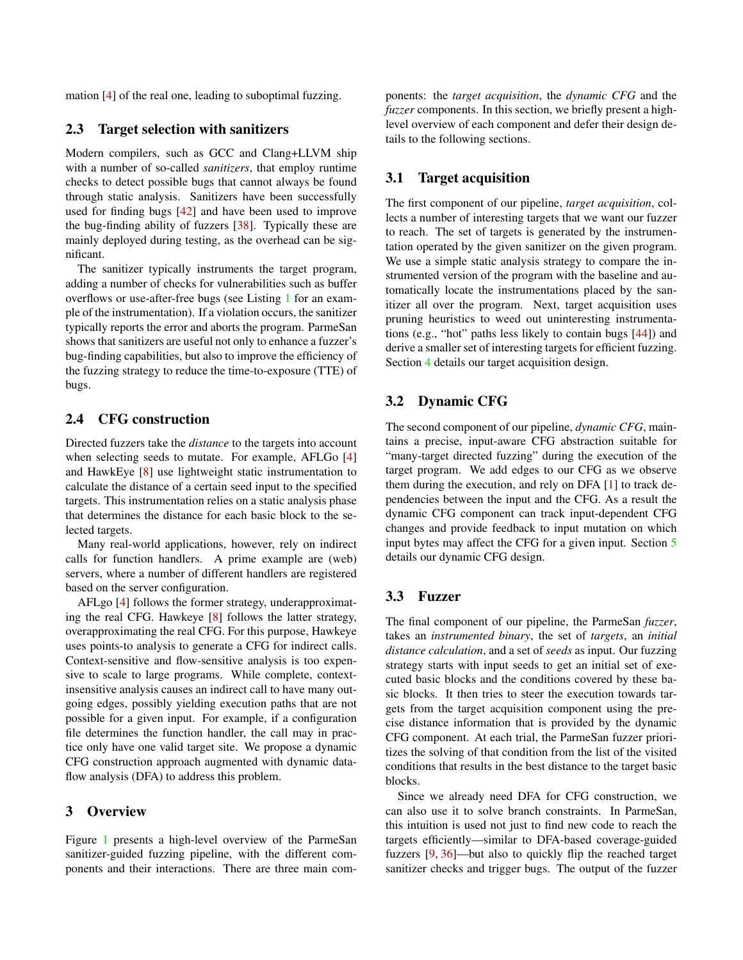mation [\[4](#page-13-1)] of the real one, leading to suboptimal fuzzing.

### 2.3 Target selection with sanitizers

Modern compilers, such as GCC and Clang+LLVM ship with a number of so-called *sanitizers*, that employ runtime checks to detect possible bugs that cannot always be found through static analysis. Sanitizers have been successfully used for finding bugs [[42](#page-15-6)] and have been used to improve the bug-finding ability of fuzzers [[38](#page-15-2)]. Typically these are mainly deployed during testing, as the overhead can be significant.

The sanitizer typically instruments the target program, adding a number of checks for vulnerabilities such as buffer overflows or use-after-free bugs (see Listing [1](#page-3-0) for an example of the instrumentation). If a violation occurs, the sanitizer typically reports the error and aborts the program. ParmeSan shows that sanitizers are useful not only to enhance a fuzzer's bug-finding capabilities, but also to improve the efficiency of the fuzzing strategy to reduce the time-to-exposure (TTE) of bugs.

## 2.4 CFG construction

Directed fuzzers take the *distance* to the targets into account when selecting seeds to mutate. For example, AFLGo [[4\]](#page-13-1) and HawkEye [[8\]](#page-13-2) use lightweight static instrumentation to calculate the distance of a certain seed input to the specified targets. This instrumentation relies on a static analysis phase that determines the distance for each basic block to the selected targets.

Many real-world applications, however, rely on indirect calls for function handlers. A prime example are (web) servers, where a number of different handlers are registered based on the server configuration.

AFLgo [[4\]](#page-13-1) follows the former strategy, underapproximating the real CFG. Hawkeye [\[8](#page-13-2)] follows the latter strategy, overapproximating the real CFG. For this purpose, Hawkeye uses points-to analysis to generate a CFG for indirect calls. Context-sensitive and flow-sensitive analysis is too expensive to scale to large programs. While complete, contextinsensitive analysis causes an indirect call to have many outgoing edges, possibly yielding execution paths that are not possible for a given input. For example, if a configuration file determines the function handler, the call may in practice only have one valid target site. We propose a dynamic CFG construction approach augmented with dynamic dataflow analysis (DFA) to address this problem.

### 3 Overview

Figure [1](#page-3-1) presents a high-level overview of the ParmeSan sanitizer-guided fuzzing pipeline, with the different components and their interactions. There are three main com-

ponents: the *target acquisition*, the *dynamic CFG* and the *fuzzer* components. In this section, we briefly present a highlevel overview of each component and defer their design details to the following sections.

### 3.1 Target acquisition

The first component of our pipeline, *target acquisition*, collects a number of interesting targets that we want our fuzzer to reach. The set of targets is generated by the instrumentation operated by the given sanitizer on the given program. We use a simple static analysis strategy to compare the instrumented version of the program with the baseline and automatically locate the instrumentations placed by the sanitizer all over the program. Next, target acquisition uses pruning heuristics to weed out uninteresting instrumentations (e.g., "hot" paths less likely to contain bugs [[44\]](#page-15-7)) and derive a smaller set of interesting targets for efficient fuzzing. Section [4](#page-3-2) details our target acquisition design.

## 3.2 Dynamic CFG

The second component of our pipeline, *dynamic CFG*, maintains a precise, input-aware CFG abstraction suitable for "many-target directed fuzzing" during the execution of the target program. We add edges to our CFG as we observe them during the execution, and rely on DFA [\[1](#page-13-6)] to track dependencies between the input and the CFG. As a result the dynamic CFG component can track input-dependent CFG changes and provide feedback to input mutation on which input bytes may affect the CFG for a given input. Section [5](#page-5-0) details our dynamic CFG design.

### 3.3 Fuzzer

The final component of our pipeline, the ParmeSan *fuzzer*, takes an *instrumented binary*, the set of *targets*, an *initial distance calculation*, and a set of *seeds* as input. Our fuzzing strategy starts with input seeds to get an initial set of executed basic blocks and the conditions covered by these basic blocks. It then tries to steer the execution towards targets from the target acquisition component using the precise distance information that is provided by the dynamic CFG component. At each trial, the ParmeSan fuzzer prioritizes the solving of that condition from the list of the visited conditions that results in the best distance to the target basic blocks.

Since we already need DFA for CFG construction, we can also use it to solve branch constraints. In ParmeSan, this intuition is used not just to find new code to reach the targets efficiently—similar to DFA-based coverage-guided fuzzers [[9,](#page-13-0) [36](#page-15-0)]—but also to quickly flip the reached target sanitizer checks and trigger bugs. The output of the fuzzer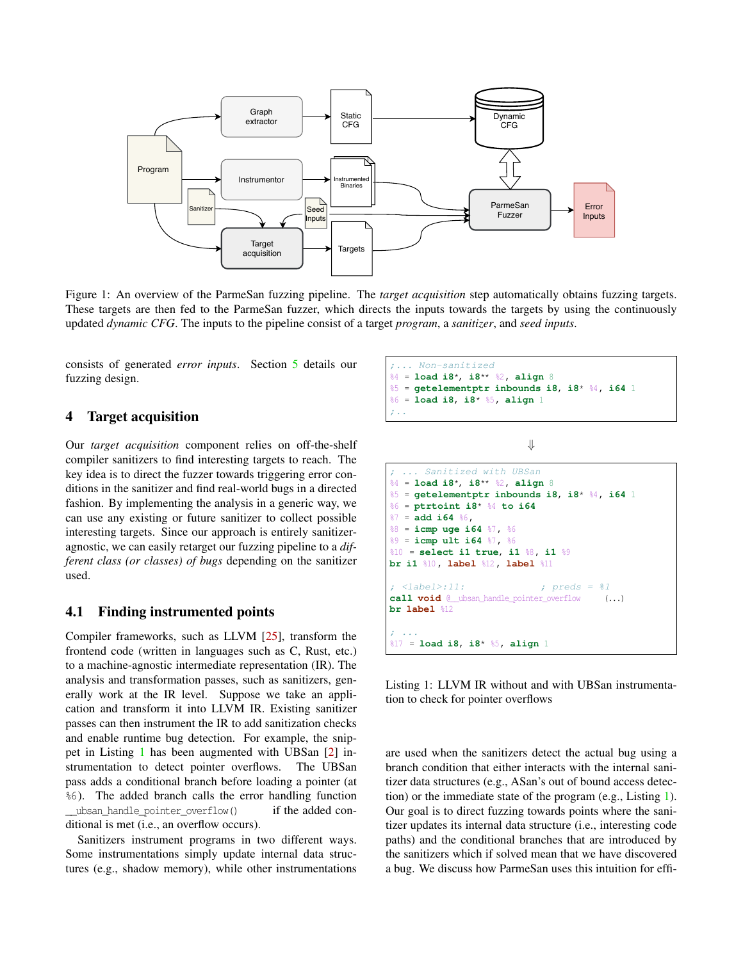<span id="page-3-1"></span>

Figure 1: An overview of the ParmeSan fuzzing pipeline. The *target acquisition* step automatically obtains fuzzing targets. These targets are then fed to the ParmeSan fuzzer, which directs the inputs towards the targets by using the continuously updated *dynamic CFG*. The inputs to the pipeline consist of a target *program*, a *sanitizer*, and *seed inputs*.

consists of generated *error inputs*. Section [5](#page-5-0) details our fuzzing design.

### <span id="page-3-2"></span>4 Target acquisition

Our *target acquisition* component relies on off-the-shelf compiler sanitizers to find interesting targets to reach. The key idea is to direct the fuzzer towards triggering error conditions in the sanitizer and find real-world bugs in a directed fashion. By implementing the analysis in a generic way, we can use any existing or future sanitizer to collect possible interesting targets. Since our approach is entirely sanitizeragnostic, we can easily retarget our fuzzing pipeline to a *different class (or classes) of bugs* depending on the sanitizer used.

### 4.1 Finding instrumented points

Compiler frameworks, such as LLVM [[25\]](#page-14-2), transform the frontend code (written in languages such as C, Rust, etc.) to a machine-agnostic intermediate representation (IR). The analysis and transformation passes, such as sanitizers, generally work at the IR level. Suppose we take an application and transform it into LLVM IR. Existing sanitizer passes can then instrument the IR to add sanitization checks and enable runtime bug detection. For example, the snippet in Listing [1](#page-3-0) has been augmented with UBSan [[2\]](#page-13-7) instrumentation to detect pointer overflows. The UBSan pass adds a conditional branch before loading a pointer (at %6 ). The added branch calls the error handling function \_\_ubsan\_handle\_pointer\_overflow() if the added conditional is met (i.e., an overflow occurs).

Sanitizers instrument programs in two different ways. Some instrumentations simply update internal data structures (e.g., shadow memory), while other instrumentations

<span id="page-3-0"></span>

*⇓*

```
; ... Sanitized with UBSan
%4 = load i8*, i8** %2 , align 8
%5 = getelementptr inbounds i8, i8* %4 , i64 1
%6 = ptrtoint i8* %4 to i64
%7 = add i64 %6 ,
%8 = icmp uge i64 %7 , %6
%9 = icmp ult i64 %7 , %6
%10 = select i1 true, i1 %8 , i1 %9
br i1 %10 , label %12 , label %11
; <label>:11: ; preds = %1
call void @__ubsan_handle_pointer_overflow (...)
br label %12
; ...
%17 = load i8, i8* %5 , align 1
```
Listing 1: LLVM IR without and with UBSan instrumentation to check for pointer overflows

are used when the sanitizers detect the actual bug using a branch condition that either interacts with the internal sanitizer data structures (e.g., ASan's out of bound access detection) or the immediate state of the program (e.g., Listing [1](#page-3-0)). Our goal is to direct fuzzing towards points where the sanitizer updates its internal data structure (i.e., interesting code paths) and the conditional branches that are introduced by the sanitizers which if solved mean that we have discovered a bug. We discuss how ParmeSan uses this intuition for effi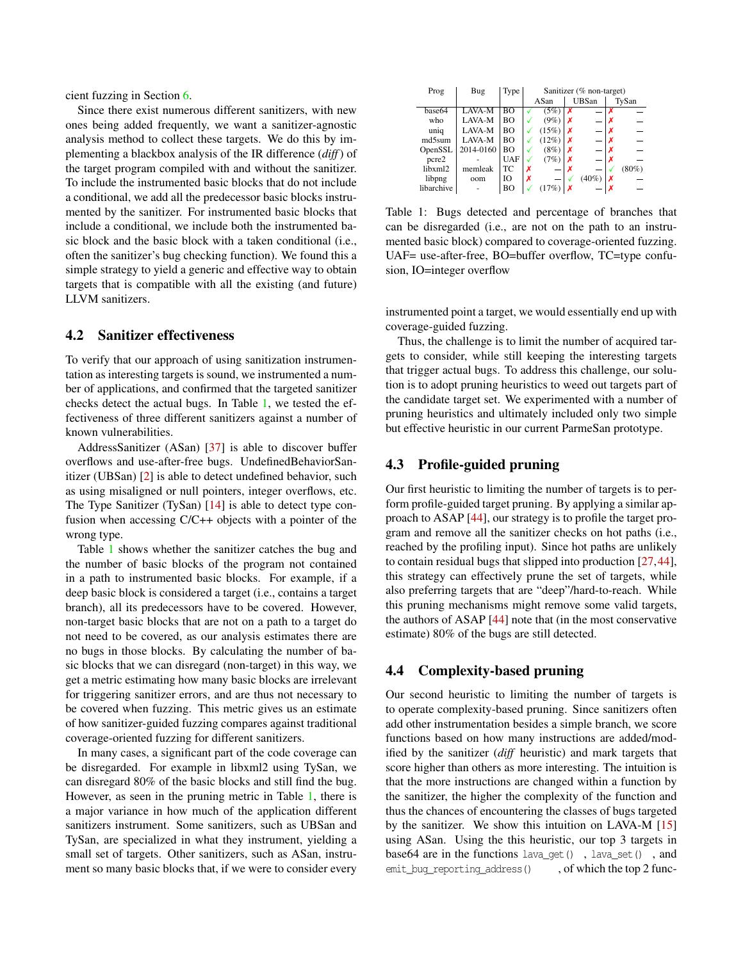cient fuzzing in Section [6.](#page-6-0)

Since there exist numerous different sanitizers, with new ones being added frequently, we want a sanitizer-agnostic analysis method to collect these targets. We do this by implementing a blackbox analysis of the IR difference (*diff*) of the target program compiled with and without the sanitizer. To include the instrumented basic blocks that do not include a conditional, we add all the predecessor basic blocks instrumented by the sanitizer. For instrumented basic blocks that include a conditional, we include both the instrumented basic block and the basic block with a taken conditional (i.e., often the sanitizer's bug checking function). We found this a simple strategy to yield a generic and effective way to obtain targets that is compatible with all the existing (and future) LLVM sanitizers.

#### 4.2 Sanitizer effectiveness

To verify that our approach of using sanitization instrumentation as interesting targets is sound, we instrumented a number of applications, and confirmed that the targeted sanitizer checks detect the actual bugs. In Table [1,](#page-4-0) we tested the effectiveness of three different sanitizers against a number of known vulnerabilities.

AddressSanitizer (ASan) [\[37](#page-15-3)] is able to discover buffer overflows and use-after-free bugs. UndefinedBehaviorSanitizer (UBSan) [\[2](#page-13-7)] is able to detect undefined behavior, such as using misaligned or null pointers, integer overflows, etc. The Type Sanitizer (TySan) [\[14](#page-14-3)] is able to detect type confusion when accessing C/C++ objects with a pointer of the wrong type.

Table [1](#page-4-0) shows whether the sanitizer catches the bug and the number of basic blocks of the program not contained in a path to instrumented basic blocks. For example, if a deep basic block is considered a target (i.e., contains a target branch), all its predecessors have to be covered. However, non-target basic blocks that are not on a path to a target do not need to be covered, as our analysis estimates there are no bugs in those blocks. By calculating the number of basic blocks that we can disregard (non-target) in this way, we get a metric estimating how many basic blocks are irrelevant for triggering sanitizer errors, and are thus not necessary to be covered when fuzzing. This metric gives us an estimate of how sanitizer-guided fuzzing compares against traditional coverage-oriented fuzzing for different sanitizers.

In many cases, a significant part of the code coverage can be disregarded. For example in libxml2 using TySan, we can disregard 80% of the basic blocks and still find the bug. However, as seen in the pruning metric in Table [1](#page-4-0), there is a major variance in how much of the application different sanitizers instrument. Some sanitizers, such as UBSan and TySan, are specialized in what they instrument, yielding a small set of targets. Other sanitizers, such as ASan, instrument so many basic blocks that, if we were to consider every

<span id="page-4-0"></span>

| Prog       | Bug       | Type       |   | Sanitizer (% non-target) |   |       |   |          |  |
|------------|-----------|------------|---|--------------------------|---|-------|---|----------|--|
|            |           |            |   | ASan                     |   | UBSan |   | TySan    |  |
| base64     | $LAVA-M$  | BО         |   | (5%)                     | x |       | x |          |  |
| who        | LAVA-M    | BО         |   | $(9\%)$                  | x |       |   |          |  |
| uniq       | LAVA-M    | BО         |   | (15%)                    |   |       |   |          |  |
| md5sum     | LAVA-M    | BО         |   | (12%)                    | х |       |   |          |  |
| OpenSSL    | 2014-0160 | BО         |   | (8%)                     | х |       |   |          |  |
| pcre2      |           | <b>UAF</b> |   | (7%)                     |   |       |   |          |  |
| libxml2    | memleak   | ТC         | x |                          |   |       |   | $(80\%)$ |  |
| libpng     | oom       | Ю          | х |                          |   | (40%  |   |          |  |
| libarchive |           | BО         |   | (17%                     | x |       |   |          |  |

Table 1: Bugs detected and percentage of branches that can be disregarded (i.e., are not on the path to an instrumented basic block) compared to coverage-oriented fuzzing. UAF= use-after-free, BO=buffer overflow, TC=type confusion, IO=integer overflow

instrumented point a target, we would essentially end up with coverage-guided fuzzing.

Thus, the challenge is to limit the number of acquired targets to consider, while still keeping the interesting targets that trigger actual bugs. To address this challenge, our solution is to adopt pruning heuristics to weed out targets part of the candidate target set. We experimented with a number of pruning heuristics and ultimately included only two simple but effective heuristic in our current ParmeSan prototype.

### 4.3 Profile-guided pruning

Our first heuristic to limiting the number of targets is to perform profile-guided target pruning. By applying a similar approach to ASAP [\[44](#page-15-7)], our strategy is to profile the target program and remove all the sanitizer checks on hot paths (i.e., reached by the profiling input). Since hot paths are unlikely to contain residual bugs that slipped into production [[27,](#page-14-11)[44](#page-15-7)], this strategy can effectively prune the set of targets, while also preferring targets that are "deep"/hard-to-reach. While this pruning mechanisms might remove some valid targets, the authors of ASAP [[44\]](#page-15-7) note that (in the most conservative estimate) 80% of the bugs are still detected.

### <span id="page-4-1"></span>4.4 Complexity-based pruning

Our second heuristic to limiting the number of targets is to operate complexity-based pruning. Since sanitizers often add other instrumentation besides a simple branch, we score functions based on how many instructions are added/modified by the sanitizer (*diff* heuristic) and mark targets that score higher than others as more interesting. The intuition is that the more instructions are changed within a function by the sanitizer, the higher the complexity of the function and thus the chances of encountering the classes of bugs targeted by the sanitizer. We show this intuition on LAVA-M [[15\]](#page-14-12) using ASan. Using the this heuristic, our top 3 targets in base64 are in the functions lava  $qet()$ , lava set(), and emit bug reporting address(),  $\overline{\phantom{a}}$ , of which the top 2 func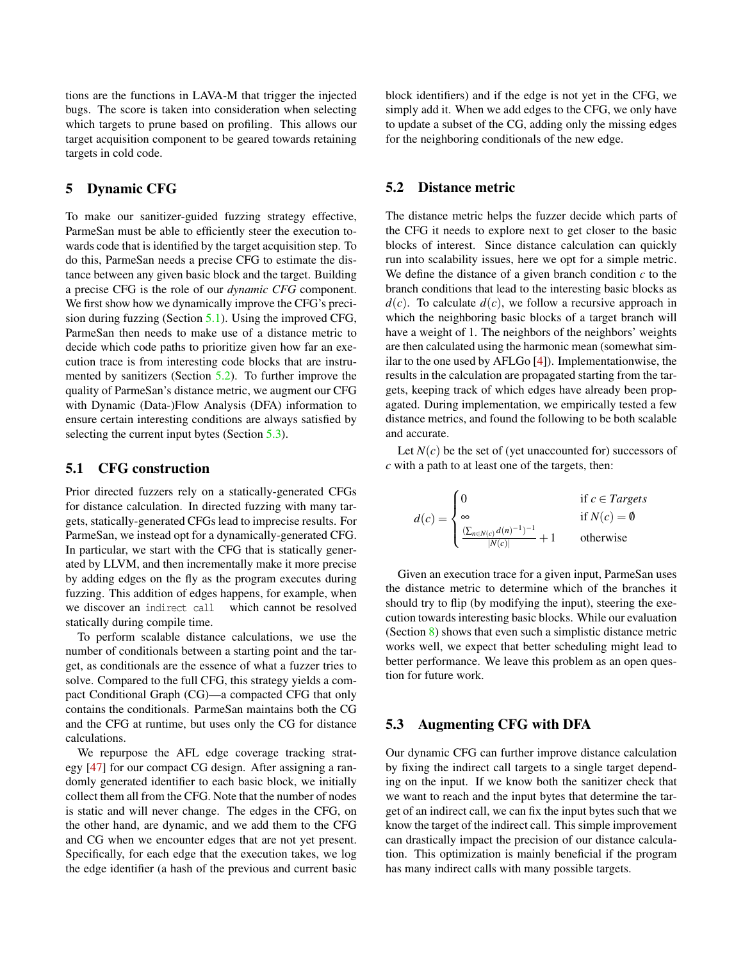tions are the functions in LAVA-M that trigger the injected bugs. The score is taken into consideration when selecting which targets to prune based on profiling. This allows our target acquisition component to be geared towards retaining targets in cold code.

### <span id="page-5-0"></span>5 Dynamic CFG

To make our sanitizer-guided fuzzing strategy effective, ParmeSan must be able to efficiently steer the execution towards code that is identified by the target acquisition step. To do this, ParmeSan needs a precise CFG to estimate the distance between any given basic block and the target. Building a precise CFG is the role of our *dynamic CFG* component. We first show how we dynamically improve the CFG's precision during fuzzing (Section [5.1](#page-5-1)). Using the improved CFG, ParmeSan then needs to make use of a distance metric to decide which code paths to prioritize given how far an execution trace is from interesting code blocks that are instrumented by sanitizers (Section [5.2](#page-5-2)). To further improve the quality of ParmeSan's distance metric, we augment our CFG with Dynamic (Data-)Flow Analysis (DFA) information to ensure certain interesting conditions are always satisfied by selecting the current input bytes (Section [5.3\)](#page-5-3).

### <span id="page-5-1"></span>5.1 CFG construction

Prior directed fuzzers rely on a statically-generated CFGs for distance calculation. In directed fuzzing with many targets, statically-generated CFGs lead to imprecise results. For ParmeSan, we instead opt for a dynamically-generated CFG. In particular, we start with the CFG that is statically generated by LLVM, and then incrementally make it more precise by adding edges on the fly as the program executes during fuzzing. This addition of edges happens, for example, when we discover an indirect call which cannot be resolved statically during compile time.

To perform scalable distance calculations, we use the number of conditionals between a starting point and the target, as conditionals are the essence of what a fuzzer tries to solve. Compared to the full CFG, this strategy yields a compact Conditional Graph (CG)—a compacted CFG that only contains the conditionals. ParmeSan maintains both the CG and the CFG at runtime, but uses only the CG for distance calculations.

We repurpose the AFL edge coverage tracking strategy [\[47](#page-15-1)] for our compact CG design. After assigning a randomly generated identifier to each basic block, we initially collect them all from the CFG. Note that the number of nodes is static and will never change. The edges in the CFG, on the other hand, are dynamic, and we add them to the CFG and CG when we encounter edges that are not yet present. Specifically, for each edge that the execution takes, we log the edge identifier (a hash of the previous and current basic block identifiers) and if the edge is not yet in the CFG, we simply add it. When we add edges to the CFG, we only have to update a subset of the CG, adding only the missing edges for the neighboring conditionals of the new edge.

### <span id="page-5-2"></span>5.2 Distance metric

The distance metric helps the fuzzer decide which parts of the CFG it needs to explore next to get closer to the basic blocks of interest. Since distance calculation can quickly run into scalability issues, here we opt for a simple metric. We define the distance of a given branch condition *c* to the branch conditions that lead to the interesting basic blocks as  $d(c)$ . To calculate  $d(c)$ , we follow a recursive approach in which the neighboring basic blocks of a target branch will have a weight of 1. The neighbors of the neighbors' weights are then calculated using the harmonic mean (somewhat similar to the one used by AFLGo [[4\]](#page-13-1)). Implementationwise, the results in the calculation are propagated starting from the targets, keeping track of which edges have already been propagated. During implementation, we empirically tested a few distance metrics, and found the following to be both scalable and accurate.

Let  $N(c)$  be the set of (yet unaccounted for) successors of *c* with a path to at least one of the targets, then:

$$
d(c) = \begin{cases} 0 & \text{if } c \in \text{Targets} \\ \infty & \text{if } N(c) = \emptyset \\ \frac{(\sum_{n \in N(c)} d(n)^{-1})^{-1}}{|N(c)|} + 1 & \text{otherwise} \end{cases}
$$

Given an execution trace for a given input, ParmeSan uses the distance metric to determine which of the branches it should try to flip (by modifying the input), steering the execution towards interesting basic blocks. While our evaluation (Section [8](#page-7-0)) shows that even such a simplistic distance metric works well, we expect that better scheduling might lead to better performance. We leave this problem as an open question for future work.

### <span id="page-5-3"></span>5.3 Augmenting CFG with DFA

Our dynamic CFG can further improve distance calculation by fixing the indirect call targets to a single target depending on the input. If we know both the sanitizer check that we want to reach and the input bytes that determine the target of an indirect call, we can fix the input bytes such that we know the target of the indirect call. This simple improvement can drastically impact the precision of our distance calculation. This optimization is mainly beneficial if the program has many indirect calls with many possible targets.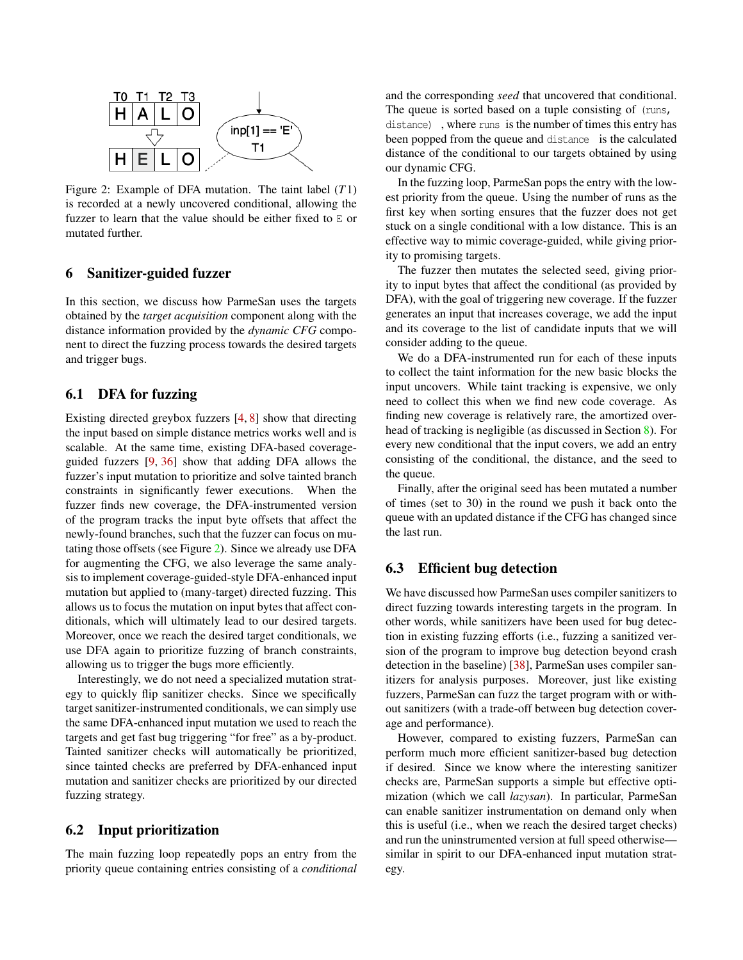<span id="page-6-1"></span>

Figure 2: Example of DFA mutation. The taint label (*T*1) is recorded at a newly uncovered conditional, allowing the fuzzer to learn that the value should be either fixed to E or mutated further.

## <span id="page-6-0"></span>6 Sanitizer-guided fuzzer

In this section, we discuss how ParmeSan uses the targets obtained by the *target acquisition* component along with the distance information provided by the *dynamic CFG* component to direct the fuzzing process towards the desired targets and trigger bugs.

## 6.1 DFA for fuzzing

Existing directed greybox fuzzers [\[4](#page-13-1), [8](#page-13-2)] show that directing the input based on simple distance metrics works well and is scalable. At the same time, existing DFA-based coverageguided fuzzers [[9,](#page-13-0) [36\]](#page-15-0) show that adding DFA allows the fuzzer's input mutation to prioritize and solve tainted branch constraints in significantly fewer executions. When the fuzzer finds new coverage, the DFA-instrumented version of the program tracks the input byte offsets that affect the newly-found branches, such that the fuzzer can focus on mutating those offsets (see Figure [2](#page-6-1)). Since we already use DFA for augmenting the CFG, we also leverage the same analysis to implement coverage-guided-style DFA-enhanced input mutation but applied to (many-target) directed fuzzing. This allows us to focus the mutation on input bytes that affect conditionals, which will ultimately lead to our desired targets. Moreover, once we reach the desired target conditionals, we use DFA again to prioritize fuzzing of branch constraints, allowing us to trigger the bugs more efficiently.

Interestingly, we do not need a specialized mutation strategy to quickly flip sanitizer checks. Since we specifically target sanitizer-instrumented conditionals, we can simply use the same DFA-enhanced input mutation we used to reach the targets and get fast bug triggering "for free" as a by-product. Tainted sanitizer checks will automatically be prioritized, since tainted checks are preferred by DFA-enhanced input mutation and sanitizer checks are prioritized by our directed fuzzing strategy.

### 6.2 Input prioritization

The main fuzzing loop repeatedly pops an entry from the priority queue containing entries consisting of a *conditional* and the corresponding *seed* that uncovered that conditional. The queue is sorted based on a tuple consisting of (runs,

distance) , where runs is the number of times this entry has been popped from the queue and distance is the calculated distance of the conditional to our targets obtained by using our dynamic CFG.

In the fuzzing loop, ParmeSan pops the entry with the lowest priority from the queue. Using the number of runs as the first key when sorting ensures that the fuzzer does not get stuck on a single conditional with a low distance. This is an effective way to mimic coverage-guided, while giving priority to promising targets.

The fuzzer then mutates the selected seed, giving priority to input bytes that affect the conditional (as provided by DFA), with the goal of triggering new coverage. If the fuzzer generates an input that increases coverage, we add the input and its coverage to the list of candidate inputs that we will consider adding to the queue.

We do a DFA-instrumented run for each of these inputs to collect the taint information for the new basic blocks the input uncovers. While taint tracking is expensive, we only need to collect this when we find new code coverage. As finding new coverage is relatively rare, the amortized overhead of tracking is negligible (as discussed in Section [8\)](#page-7-0). For every new conditional that the input covers, we add an entry consisting of the conditional, the distance, and the seed to the queue.

Finally, after the original seed has been mutated a number of times (set to 30) in the round we push it back onto the queue with an updated distance if the CFG has changed since the last run.

#### 6.3 Efficient bug detection

We have discussed how ParmeSan uses compiler sanitizers to direct fuzzing towards interesting targets in the program. In other words, while sanitizers have been used for bug detection in existing fuzzing efforts (i.e., fuzzing a sanitized version of the program to improve bug detection beyond crash detection in the baseline) [\[38](#page-15-2)], ParmeSan uses compiler sanitizers for analysis purposes. Moreover, just like existing fuzzers, ParmeSan can fuzz the target program with or without sanitizers (with a trade-off between bug detection coverage and performance).

However, compared to existing fuzzers, ParmeSan can perform much more efficient sanitizer-based bug detection if desired. Since we know where the interesting sanitizer checks are, ParmeSan supports a simple but effective optimization (which we call *lazysan*). In particular, ParmeSan can enable sanitizer instrumentation on demand only when this is useful (i.e., when we reach the desired target checks) and run the uninstrumented version at full speed otherwise similar in spirit to our DFA-enhanced input mutation strategy.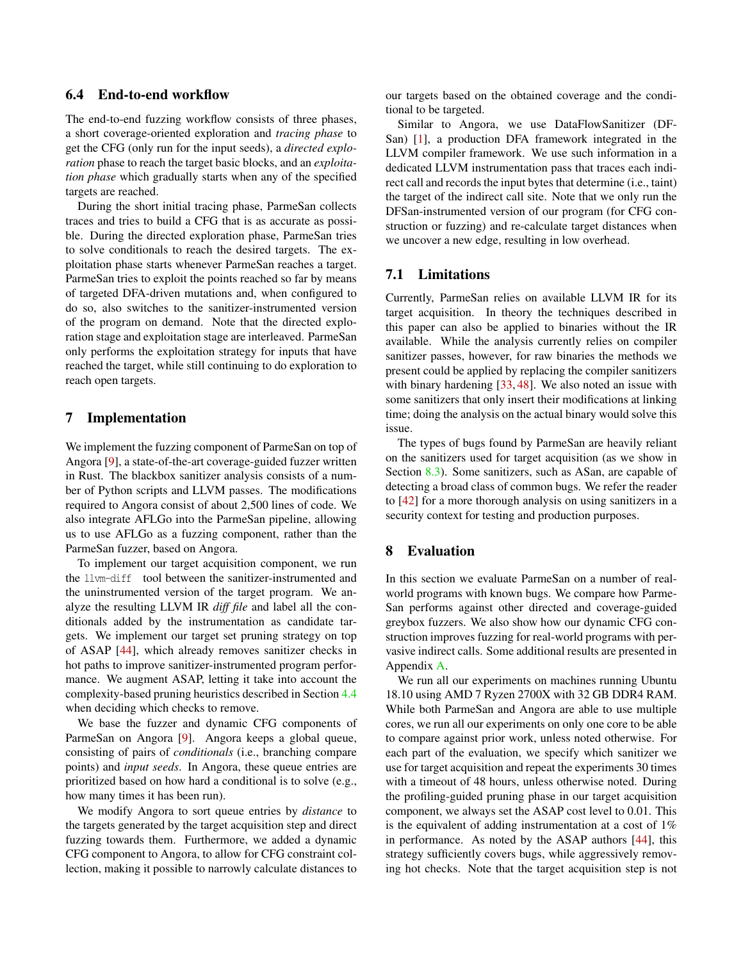### 6.4 End-to-end workflow

The end-to-end fuzzing workflow consists of three phases, a short coverage-oriented exploration and *tracing phase* to get the CFG (only run for the input seeds), a *directed exploration* phase to reach the target basic blocks, and an *exploitation phase* which gradually starts when any of the specified targets are reached.

During the short initial tracing phase, ParmeSan collects traces and tries to build a CFG that is as accurate as possible. During the directed exploration phase, ParmeSan tries to solve conditionals to reach the desired targets. The exploitation phase starts whenever ParmeSan reaches a target. ParmeSan tries to exploit the points reached so far by means of targeted DFA-driven mutations and, when configured to do so, also switches to the sanitizer-instrumented version of the program on demand. Note that the directed exploration stage and exploitation stage are interleaved. ParmeSan only performs the exploitation strategy for inputs that have reached the target, while still continuing to do exploration to reach open targets.

### 7 Implementation

We implement the fuzzing component of ParmeSan on top of Angora [\[9](#page-13-0)], a state-of-the-art coverage-guided fuzzer written in Rust. The blackbox sanitizer analysis consists of a number of Python scripts and LLVM passes. The modifications required to Angora consist of about 2,500 lines of code. We also integrate AFLGo into the ParmeSan pipeline, allowing us to use AFLGo as a fuzzing component, rather than the ParmeSan fuzzer, based on Angora.

To implement our target acquisition component, we run the llvm-diff tool between the sanitizer-instrumented and the uninstrumented version of the target program. We analyze the resulting LLVM IR *diff file* and label all the conditionals added by the instrumentation as candidate targets. We implement our target set pruning strategy on top of ASAP [[44\]](#page-15-7), which already removes sanitizer checks in hot paths to improve sanitizer-instrumented program performance. We augment ASAP, letting it take into account the complexity-based pruning heuristics described in Section [4.4](#page-4-1) when deciding which checks to remove.

We base the fuzzer and dynamic CFG components of ParmeSan on Angora [\[9](#page-13-0)]. Angora keeps a global queue, consisting of pairs of *conditionals* (i.e., branching compare points) and *input seeds*. In Angora, these queue entries are prioritized based on how hard a conditional is to solve (e.g., how many times it has been run).

We modify Angora to sort queue entries by *distance* to the targets generated by the target acquisition step and direct fuzzing towards them. Furthermore, we added a dynamic CFG component to Angora, to allow for CFG constraint collection, making it possible to narrowly calculate distances to

our targets based on the obtained coverage and the conditional to be targeted.

Similar to Angora, we use DataFlowSanitizer (DF-San) [\[1](#page-13-6)], a production DFA framework integrated in the LLVM compiler framework. We use such information in a dedicated LLVM instrumentation pass that traces each indirect call and records the input bytes that determine (i.e., taint) the target of the indirect call site. Note that we only run the DFSan-instrumented version of our program (for CFG construction or fuzzing) and re-calculate target distances when we uncover a new edge, resulting in low overhead.

#### 7.1 Limitations

Currently, ParmeSan relies on available LLVM IR for its target acquisition. In theory the techniques described in this paper can also be applied to binaries without the IR available. While the analysis currently relies on compiler sanitizer passes, however, for raw binaries the methods we present could be applied by replacing the compiler sanitizers with binary hardening [\[33](#page-15-8), [48](#page-15-9)]. We also noted an issue with some sanitizers that only insert their modifications at linking time; doing the analysis on the actual binary would solve this issue.

The types of bugs found by ParmeSan are heavily reliant on the sanitizers used for target acquisition (as we show in Section [8.3](#page-10-0)). Some sanitizers, such as ASan, are capable of detecting a broad class of common bugs. We refer the reader to [[42\]](#page-15-6) for a more thorough analysis on using sanitizers in a security context for testing and production purposes.

### <span id="page-7-0"></span>8 Evaluation

In this section we evaluate ParmeSan on a number of realworld programs with known bugs. We compare how Parme-San performs against other directed and coverage-guided greybox fuzzers. We also show how our dynamic CFG construction improves fuzzing for real-world programs with pervasive indirect calls. Some additional results are presented in Appendix [A.](#page-15-10)

We run all our experiments on machines running Ubuntu 18.10 using AMD 7 Ryzen 2700X with 32 GB DDR4 RAM. While both ParmeSan and Angora are able to use multiple cores, we run all our experiments on only one core to be able to compare against prior work, unless noted otherwise. For each part of the evaluation, we specify which sanitizer we use for target acquisition and repeat the experiments 30 times with a timeout of 48 hours, unless otherwise noted. During the profiling-guided pruning phase in our target acquisition component, we always set the ASAP cost level to 0.01. This is the equivalent of adding instrumentation at a cost of 1% in performance. As noted by the ASAP authors [[44\]](#page-15-7), this strategy sufficiently covers bugs, while aggressively removing hot checks. Note that the target acquisition step is not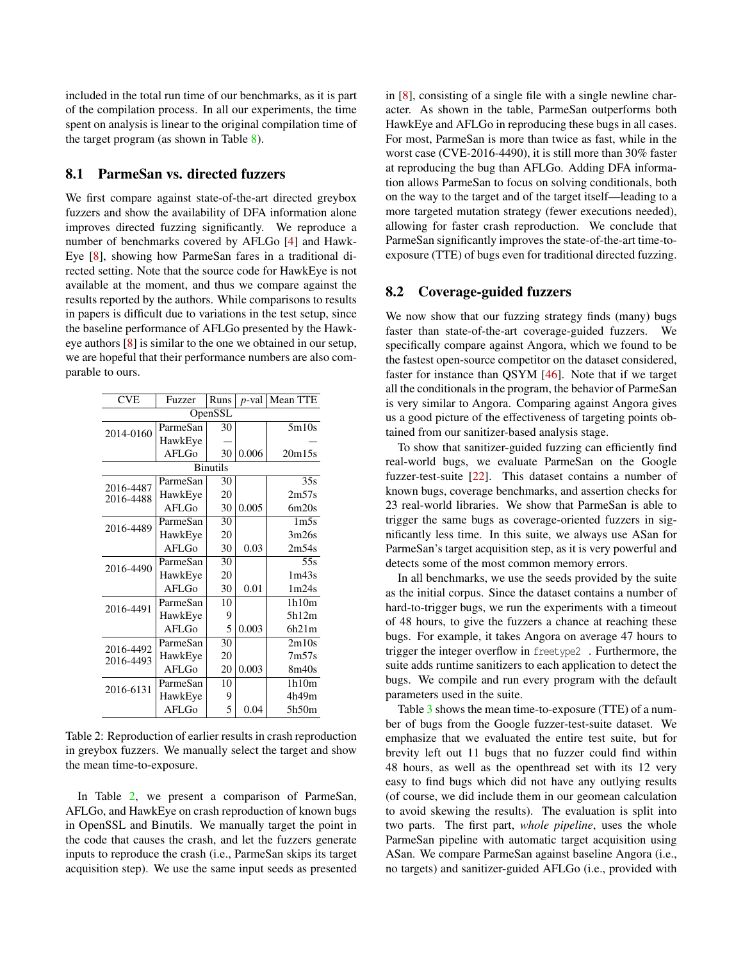included in the total run time of our benchmarks, as it is part of the compilation process. In all our experiments, the time spent on analysis is linear to the original compilation time of the target program (as shown in Table [8\)](#page-16-0).

### 8.1 ParmeSan vs. directed fuzzers

We first compare against state-of-the-art directed greybox fuzzers and show the availability of DFA information alone improves directed fuzzing significantly. We reproduce a number of benchmarks covered by AFLGo [\[4](#page-13-1)] and Hawk-Eye [[8\]](#page-13-2), showing how ParmeSan fares in a traditional directed setting. Note that the source code for HawkEye is not available at the moment, and thus we compare against the results reported by the authors. While comparisons to results in papers is difficult due to variations in the test setup, since the baseline performance of AFLGo presented by the Hawkeye authors [[8\]](#page-13-2) is similar to the one we obtained in our setup, we are hopeful that their performance numbers are also comparable to ours.

<span id="page-8-0"></span>

| <b>CVE</b>      | Fuzzer     | Runs    | <i>p</i> -val | Mean TTE          |  |  |  |  |  |  |  |
|-----------------|------------|---------|---------------|-------------------|--|--|--|--|--|--|--|
|                 |            | OpenSSL |               |                   |  |  |  |  |  |  |  |
| 2014-0160       | ParmeSan   | 30      |               | 5m10s             |  |  |  |  |  |  |  |
|                 | HawkEye    |         |               |                   |  |  |  |  |  |  |  |
|                 | $AFI$ . Go | 30      | 0.006         | 20m15s            |  |  |  |  |  |  |  |
| <b>Binutils</b> |            |         |               |                   |  |  |  |  |  |  |  |
| 2016-4487       | ParmeSan   | 30      |               | 35s               |  |  |  |  |  |  |  |
| 2016-4488       | HawkEye    | 20      |               | 2m57s             |  |  |  |  |  |  |  |
|                 | $AFI$ . Go | 30      | 0.005         | 6m20s             |  |  |  |  |  |  |  |
| 2016-4489       | ParmeSan   | 30      |               | 1 <sub>m5s</sub>  |  |  |  |  |  |  |  |
|                 | HawkEye    | 20      |               | 3m26s             |  |  |  |  |  |  |  |
|                 | AFI.G      | 30      | 0.03          | 2m54s             |  |  |  |  |  |  |  |
| 2016-4490       | ParmeSan   | 30      |               | 55s               |  |  |  |  |  |  |  |
|                 | HawkEye    | 20      |               | 1m43s             |  |  |  |  |  |  |  |
|                 | AFLGo      | 30      | 0.01          | 1 <sub>m24s</sub> |  |  |  |  |  |  |  |
| 2016-4491       | ParmeSan   | 10      |               | 1h10m             |  |  |  |  |  |  |  |
|                 | HawkEye    | 9       |               | 5h12m             |  |  |  |  |  |  |  |
|                 | $AFI$ . Go | 5       | 0.003         | 6h21m             |  |  |  |  |  |  |  |
| 2016-4492       | ParmeSan   | 30      |               | 2m10s             |  |  |  |  |  |  |  |
| 2016-4493       | HawkEye    | 20      |               | 7 <sub>m57s</sub> |  |  |  |  |  |  |  |
|                 | AFLGo      | 20      | 0.003         | 8m40s             |  |  |  |  |  |  |  |
| 2016-6131       | ParmeSan   | 10      |               | 1h10m             |  |  |  |  |  |  |  |
|                 | HawkEye    | 9       |               | 4h49m             |  |  |  |  |  |  |  |
|                 | AFLGo      | 5       | 0.04          | 5h50m             |  |  |  |  |  |  |  |

Table 2: Reproduction of earlier results in crash reproduction in greybox fuzzers. We manually select the target and show the mean time-to-exposure.

In Table [2](#page-8-0), we present a comparison of ParmeSan, AFLGo, and HawkEye on crash reproduction of known bugs in OpenSSL and Binutils. We manually target the point in the code that causes the crash, and let the fuzzers generate inputs to reproduce the crash (i.e., ParmeSan skips its target acquisition step). We use the same input seeds as presented in [[8\]](#page-13-2), consisting of a single file with a single newline character. As shown in the table, ParmeSan outperforms both HawkEye and AFLGo in reproducing these bugs in all cases. For most, ParmeSan is more than twice as fast, while in the worst case (CVE-2016-4490), it is still more than 30% faster at reproducing the bug than AFLGo. Adding DFA information allows ParmeSan to focus on solving conditionals, both on the way to the target and of the target itself—leading to a more targeted mutation strategy (fewer executions needed), allowing for faster crash reproduction. We conclude that ParmeSan significantly improves the state-of-the-art time-toexposure (TTE) of bugs even for traditional directed fuzzing.

### 8.2 Coverage-guided fuzzers

We now show that our fuzzing strategy finds (many) bugs faster than state-of-the-art coverage-guided fuzzers. We specifically compare against Angora, which we found to be the fastest open-source competitor on the dataset considered, faster for instance than QSYM [[46\]](#page-15-11). Note that if we target all the conditionals in the program, the behavior of ParmeSan is very similar to Angora. Comparing against Angora gives us a good picture of the effectiveness of targeting points obtained from our sanitizer-based analysis stage.

To show that sanitizer-guided fuzzing can efficiently find real-world bugs, we evaluate ParmeSan on the Google fuzzer-test-suite [[22\]](#page-14-13). This dataset contains a number of known bugs, coverage benchmarks, and assertion checks for 23 real-world libraries. We show that ParmeSan is able to trigger the same bugs as coverage-oriented fuzzers in significantly less time. In this suite, we always use ASan for ParmeSan's target acquisition step, as it is very powerful and detects some of the most common memory errors.

In all benchmarks, we use the seeds provided by the suite as the initial corpus. Since the dataset contains a number of hard-to-trigger bugs, we run the experiments with a timeout of 48 hours, to give the fuzzers a chance at reaching these bugs. For example, it takes Angora on average 47 hours to trigger the integer overflow in freetype2 . Furthermore, the suite adds runtime sanitizers to each application to detect the bugs. We compile and run every program with the default parameters used in the suite.

Table [3](#page-9-0) shows the mean time-to-exposure (TTE) of a number of bugs from the Google fuzzer-test-suite dataset. We emphasize that we evaluated the entire test suite, but for brevity left out 11 bugs that no fuzzer could find within 48 hours, as well as the openthread set with its 12 very easy to find bugs which did not have any outlying results (of course, we did include them in our geomean calculation to avoid skewing the results). The evaluation is split into two parts. The first part, *whole pipeline*, uses the whole ParmeSan pipeline with automatic target acquisition using ASan. We compare ParmeSan against baseline Angora (i.e., no targets) and sanitizer-guided AFLGo (i.e., provided with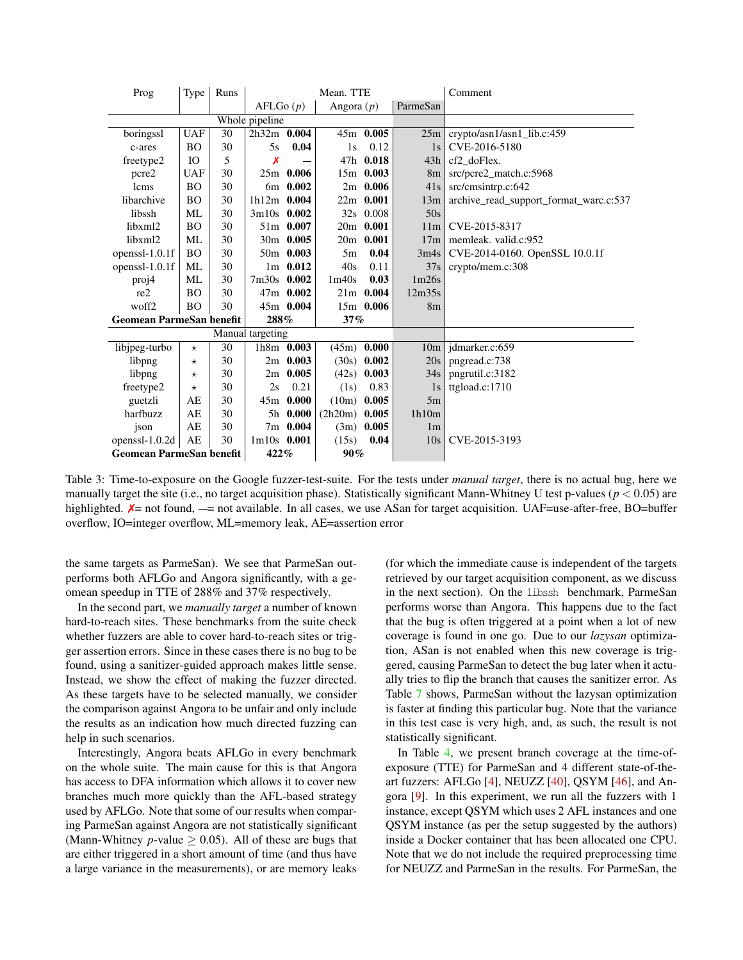<span id="page-9-0"></span>

| Prog                            | Type       | Runs |                  |             | Mean. TTE         |               |                 | Comment                                |
|---------------------------------|------------|------|------------------|-------------|-------------------|---------------|-----------------|----------------------------------------|
|                                 |            |      | AFLGo(p)         |             | Angora $(p)$      |               | ParmeSan        |                                        |
|                                 |            |      | Whole pipeline   |             |                   |               |                 |                                        |
| boringssl                       | <b>UAF</b> | 30   | $2h32m$ 0.004    |             |                   | 45m 0.005     | 25m             | crypto/asn1/asn1_lib.c:459             |
| c-ares                          | <b>BO</b>  | 30   | 5s               | 0.04        | 1s                | 0.12          | 1s              | CVE-2016-5180                          |
| freetype2                       | IO.        | 5    | Х                |             |                   | 47h 0.018     | 43h             | cf2 doFlex.                            |
| pcre2                           | <b>UAF</b> | 30   |                  | $25m$ 0.006 |                   | 15m 0.003     | 8 <sub>m</sub>  | src/pcre2_match.c:5968                 |
| lcms                            | <b>BO</b>  | 30   |                  | 6m 0.002    |                   | $2m$ 0.006    | 41s             | src/cmsintrp.c:642                     |
| libarchive                      | <b>BO</b>  | 30   | $1h12m$ 0.004    |             |                   | $22m$ 0.001   | 13m             | archive_read_support_format_warc.c:537 |
| libssh                          | ML         | 30   | $3m10s$ 0.002    |             |                   | 32s 0.008     | 50s             |                                        |
| libxml2                         | <b>BO</b>  | 30   |                  | 51m 0.007   |                   | $20m$ 0.001   | 11 <sub>m</sub> | CVE-2015-8317                          |
| libxml2                         | ML         | 30   |                  | 30m 0.005   |                   | $20m$ 0.001   | 17 <sub>m</sub> | memleak. valid.c:952                   |
| openss $l-1.0.1f$               | <b>BO</b>  | 30   |                  | 50m 0.003   | 5m                | 0.04          | 3m4s            | CVE-2014-0160. OpenSSL 10.0.1f         |
| openss $l-1.0.1f$               | ML         | 30   |                  | $1m$ 0.012  | 40s               | 0.11          | 37s             | crypto/mem.c:308                       |
| proj4                           | ML         | 30   | 7m30s 0.002      |             | 1 <sub>m40s</sub> | 0.03          | 1m26s           |                                        |
| re2                             | <b>BO</b>  | 30   |                  | 47m 0.002   |                   | $21m$ 0.004   | 12m35s          |                                        |
| woff2                           | <b>BO</b>  | 30   |                  | 45m 0.004   |                   | 15m 0.006     | 8 <sub>m</sub>  |                                        |
| <b>Geomean ParmeSan benefit</b> |            |      | 288%<br>37%      |             |                   |               |                 |                                        |
|                                 |            |      | Manual targeting |             |                   |               |                 |                                        |
| libjpeg-turbo                   | $\star$    | 30   |                  | 1h8m 0.003  | (45m)             | 0.000         | 10 <sub>m</sub> | idmarker.c:659                         |
| libpng                          | $^\star$   | 30   |                  | $2m$ 0.003  |                   | $(30s)$ 0.002 | 20s             | pngread.c:738                          |
| libpng                          | $^\star$   | 30   |                  | $2m$ 0.005  | (42s)             | 0.003         | 34s             | pngrutil.c:3182                        |
| freetype2                       | $^\star$   | 30   | 2s               | 0.21        | (1s)              | 0.83          | 1s              | ttgload.c:1710                         |
| guetzli                         | AE         | 30   |                  | $45m$ 0.000 | (10m)             | 0.005         | 5m              |                                        |
| harfbuzz                        | AE         | 30   |                  | 5h 0.000    | $(2h20m)$ 0.005   |               | 1h10m           |                                        |
| json                            | AE         | 30   |                  | 7m 0.004    |                   | $(3m)$ 0.005  | 1 <sub>m</sub>  |                                        |
| openssl- $1.0.2d$               | AE         | 30   | $1m10s$ 0.001    |             | (15s)             | 0.04          | 10s             | CVE-2015-3193                          |
| <b>Geomean ParmeSan benefit</b> |            |      | 422%             |             | 90%               |               |                 |                                        |

Table 3: Time-to-exposure on the Google fuzzer-test-suite. For the tests under *manual target*, there is no actual bug, here we manually target the site (i.e., no target acquisition phase). Statistically significant Mann-Whitney U test p-values (*p <* 0*.*05) are highlighted.  $X=$  not found,  $-$  = not available. In all cases, we use ASan for target acquisition. UAF=use-after-free, BO=buffer overflow, IO=integer overflow, ML=memory leak, AE=assertion error

the same targets as ParmeSan). We see that ParmeSan outperforms both AFLGo and Angora significantly, with a geomean speedup in TTE of 288% and 37% respectively.

In the second part, we *manually target* a number of known hard-to-reach sites. These benchmarks from the suite check whether fuzzers are able to cover hard-to-reach sites or trigger assertion errors. Since in these cases there is no bug to be found, using a sanitizer-guided approach makes little sense. Instead, we show the effect of making the fuzzer directed. As these targets have to be selected manually, we consider the comparison against Angora to be unfair and only include the results as an indication how much directed fuzzing can help in such scenarios.

Interestingly, Angora beats AFLGo in every benchmark on the whole suite. The main cause for this is that Angora has access to DFA information which allows it to cover new branches much more quickly than the AFL-based strategy used by AFLGo. Note that some of our results when comparing ParmeSan against Angora are not statistically significant (Mann-Whitney *p*-value  $\geq$  0.05). All of these are bugs that are either triggered in a short amount of time (and thus have a large variance in the measurements), or are memory leaks

(for which the immediate cause is independent of the targets retrieved by our target acquisition component, as we discuss in the next section). On the libssh benchmark, ParmeSan performs worse than Angora. This happens due to the fact that the bug is often triggered at a point when a lot of new coverage is found in one go. Due to our *lazysan* optimization, ASan is not enabled when this new coverage is triggered, causing ParmeSan to detect the bug later when it actually tries to flip the branch that causes the sanitizer error. As Table [7](#page-16-1) shows, ParmeSan without the lazysan optimization is faster at finding this particular bug. Note that the variance in this test case is very high, and, as such, the result is not statistically significant.

In Table [4](#page-10-1), we present branch coverage at the time-ofexposure (TTE) for ParmeSan and 4 different state-of-theart fuzzers: AFLGo [\[4](#page-13-1)], NEUZZ [\[40](#page-15-12)], QSYM [\[46](#page-15-11)], and Angora [\[9](#page-13-0)]. In this experiment, we run all the fuzzers with 1 instance, except QSYM which uses 2 AFL instances and one QSYM instance (as per the setup suggested by the authors) inside a Docker container that has been allocated one CPU. Note that we do not include the required preprocessing time for NEUZZ and ParmeSan in the results. For ParmeSan, the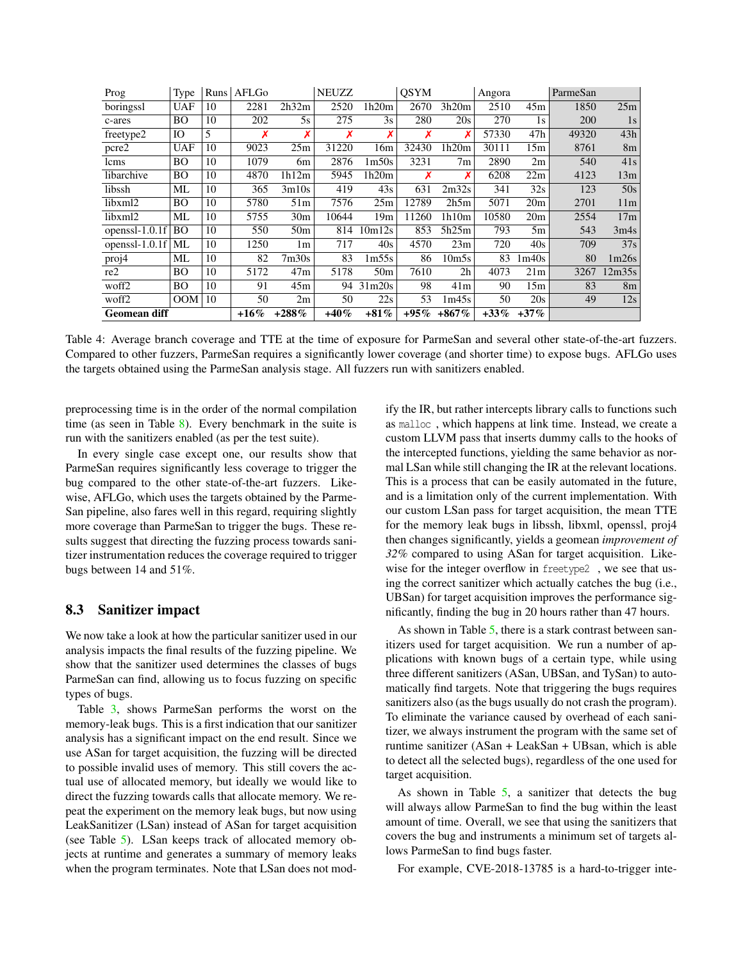<span id="page-10-1"></span>

| Prog                | Type       | Runs | AFLGo   |                 | <b>NEUZZ</b> |                   | <b>OSYM</b> |                   | Angora  |                 | ParmeSan |                 |
|---------------------|------------|------|---------|-----------------|--------------|-------------------|-------------|-------------------|---------|-----------------|----------|-----------------|
| boringssl           | <b>UAF</b> | 10   | 2281    | 2h32m           | 2520         | 1h20m             | 2670        | 3h20m             | 2510    | 45m             | 1850     | 25m             |
| c-ares              | BО         | 10   | 202     | 5s              | 275          | 3s                | 280         | 20s               | 270     | 1s              | 200      | 1s              |
| freetype2           | IO         | 5    | Х       | Х               | Х            | Х                 | Х           |                   | 57330   | 47h             | 49320    | 43h             |
| pcre2               | <b>UAF</b> | 10   | 9023    | 25m             | 31220        | 16m               | 32430       | 1h20m             | 30111   | 15m             | 8761     | 8 <sub>m</sub>  |
| lcms                | BО         | 10   | 1079    | 6m              | 2876         | 1 <sub>m50s</sub> | 3231        | 7 <sub>m</sub>    | 2890    | 2m              | 540      | 41s             |
| libarchive          | <b>BO</b>  | 10   | 4870    | 1h12m           | 5945         | 1h20m             | Х           |                   | 6208    | 22m             | 4123     | 13m             |
| libssh              | ML         | 10   | 365     | 3m10s           | 419          | 43s               | 631         | 2m32s             | 341     | 32s             | 123      | 50s             |
| libxml2             | BО         | 10   | 5780    | 51m             | 7576         | 25m               | 12789       | 2h5m              | 5071    | 20 <sub>m</sub> | 2701     | 11 <sub>m</sub> |
| libxml2             | МL         | 10   | 5755    | 30 <sub>m</sub> | 10644        | 19 <sub>m</sub>   | 11260       | 1h10m             | 10580   | 20 <sub>m</sub> | 2554     | 17m             |
| openssl-1.0.1f      | <b>BO</b>  | 10   | 550     | 50 <sub>m</sub> | 814          | 10m12s            | 853         | 5h25m             | 793     | 5m              | 543      | 3m4s            |
| openssl- $1.0.1f$   | ML         | 10   | 1250    | 1m              | 717          | 40s               | 4570        | 23m               | 720     | 40s             | 709      | 37s             |
| proj4               | ML         | 10   | 82      | 7m30s           | 83           | 1m55s             | 86          | 10 <sub>m5s</sub> | 83      | 1m40s           | 80       | 1m26s           |
| re2                 | <b>BO</b>  | 10   | 5172    | 47m             | 5178         | 50 <sub>m</sub>   | 7610        | 2 <sub>h</sub>    | 4073    | 21m             | 3267     | 12m35s          |
| woff2               | BО         | 10   | 91      | 45m             |              | 94 31m20s         | 98          | 41m               | 90      | 15m             | 83       | 8 <sub>m</sub>  |
| woff2               | OM         | 10   | 50      | 2m              | 50           | 22s               | 53          | 1m45s             | 50      | 20s             | 49       | 12s             |
| <b>Geomean diff</b> |            |      | $+16\%$ | $+288%$         | $+40%$       | $+81%$            | $+95\%$     | $+867\%$          | $+33\%$ | $+37\%$         |          |                 |

Table 4: Average branch coverage and TTE at the time of exposure for ParmeSan and several other state-of-the-art fuzzers. Compared to other fuzzers, ParmeSan requires a significantly lower coverage (and shorter time) to expose bugs. AFLGo uses the targets obtained using the ParmeSan analysis stage. All fuzzers run with sanitizers enabled.

preprocessing time is in the order of the normal compilation time (as seen in Table  $8$ ). Every benchmark in the suite is run with the sanitizers enabled (as per the test suite).

In every single case except one, our results show that ParmeSan requires significantly less coverage to trigger the bug compared to the other state-of-the-art fuzzers. Likewise, AFLGo, which uses the targets obtained by the Parme-San pipeline, also fares well in this regard, requiring slightly more coverage than ParmeSan to trigger the bugs. These results suggest that directing the fuzzing process towards sanitizer instrumentation reduces the coverage required to trigger bugs between 14 and 51%.

### <span id="page-10-0"></span>8.3 Sanitizer impact

We now take a look at how the particular sanitizer used in our analysis impacts the final results of the fuzzing pipeline. We show that the sanitizer used determines the classes of bugs ParmeSan can find, allowing us to focus fuzzing on specific types of bugs.

Table [3](#page-9-0), shows ParmeSan performs the worst on the memory-leak bugs. This is a first indication that our sanitizer analysis has a significant impact on the end result. Since we use ASan for target acquisition, the fuzzing will be directed to possible invalid uses of memory. This still covers the actual use of allocated memory, but ideally we would like to direct the fuzzing towards calls that allocate memory. We repeat the experiment on the memory leak bugs, but now using LeakSanitizer (LSan) instead of ASan for target acquisition (see Table [5](#page-11-0)). LSan keeps track of allocated memory objects at runtime and generates a summary of memory leaks when the program terminates. Note that LSan does not modify the IR, but rather intercepts library calls to functions such as malloc , which happens at link time. Instead, we create a custom LLVM pass that inserts dummy calls to the hooks of the intercepted functions, yielding the same behavior as normal LSan while still changing the IR at the relevant locations. This is a process that can be easily automated in the future, and is a limitation only of the current implementation. With our custom LSan pass for target acquisition, the mean TTE for the memory leak bugs in libssh, libxml, openssl, proj4 then changes significantly, yields a geomean *improvement of 32%* compared to using ASan for target acquisition. Likewise for the integer overflow in freetype2 , we see that using the correct sanitizer which actually catches the bug (i.e., UBSan) for target acquisition improves the performance significantly, finding the bug in 20 hours rather than 47 hours.

As shown in Table [5](#page-11-0), there is a stark contrast between sanitizers used for target acquisition. We run a number of applications with known bugs of a certain type, while using three different sanitizers (ASan, UBSan, and TySan) to automatically find targets. Note that triggering the bugs requires sanitizers also (as the bugs usually do not crash the program). To eliminate the variance caused by overhead of each sanitizer, we always instrument the program with the same set of runtime sanitizer (ASan + LeakSan + UBsan, which is able to detect all the selected bugs), regardless of the one used for target acquisition.

As shown in Table  $5$ , a sanitizer that detects the bug will always allow ParmeSan to find the bug within the least amount of time. Overall, we see that using the sanitizers that covers the bug and instruments a minimum set of targets allows ParmeSan to find bugs faster.

For example, CVE-2018-13785 is a hard-to-trigger inte-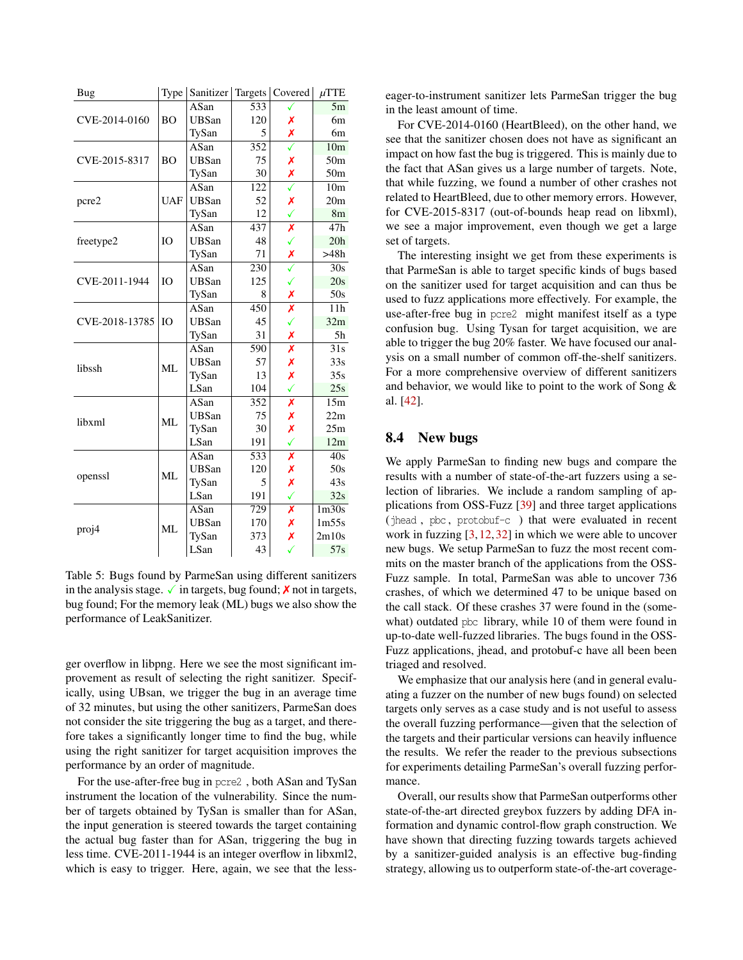<span id="page-11-0"></span>

| Bug            | Type           | Sanitizer    |     | Targets   Covered       | $\mu$ TTE         |
|----------------|----------------|--------------|-----|-------------------------|-------------------|
|                |                | ASan         | 533 |                         | 5m                |
| CVE-2014-0160  | B <sub>O</sub> | <b>UBSan</b> | 120 | Х                       | 6m                |
|                |                | TySan        | 5   | Х                       | 6m                |
|                |                | ASan         | 352 |                         | 10 <sub>m</sub>   |
| CVE-2015-8317  | <b>BO</b>      | <b>UBSan</b> | 75  | Х                       | 50 <sub>m</sub>   |
|                |                | TySan        | 30  | Х                       | 50m               |
|                |                | ASan         | 122 | $\overline{\checkmark}$ | $\overline{10m}$  |
| pcre2          | <b>UAF</b>     | <b>UBSan</b> | 52  | Х                       | 20 <sub>m</sub>   |
|                |                | TySan        | 12  | ✓                       | 8 <sub>m</sub>    |
|                |                | ASan         | 437 | Х                       | 47h               |
| freetype2      | <b>IO</b>      | <b>UBSan</b> | 48  | ✓                       | 20h               |
|                |                | TySan        | 71  | Х                       | >48h              |
|                |                | ASan         | 230 |                         | 30s               |
| CVE-2011-1944  | <b>IO</b>      | <b>UBSan</b> | 125 | ✓                       | 20s               |
|                |                | TySan        | 8   | Х                       | 50s               |
| CVE-2018-13785 |                | ASan         | 450 | Х                       | 11h               |
|                | IO             | <b>UBSan</b> | 45  | ✓                       | 32m               |
|                |                | TySan        | 31  | Х                       | 5h                |
|                |                | ASan         | 590 | X                       | $\overline{31s}$  |
| libssh         |                | <b>UBSan</b> | 57  | Х                       | 33s               |
|                | ML             | TySan        | 13  | Х                       | 35s               |
|                |                | LSan         | 104 | ✓                       | 25s               |
|                |                | ASan         | 352 | Х                       | 15m               |
|                |                | <b>UBSan</b> | 75  | Х                       | 22m               |
| libxml         | ML             | TySan        | 30  | Х                       | 25m               |
|                |                | LSan         | 191 | ✓                       | 12m               |
|                |                | ASan         | 533 | Х                       | 40s               |
|                |                | <b>UBSan</b> | 120 | Х                       | 50s               |
| openssl        | ML             | TySan        | 5   | Х                       | 43s               |
|                |                | LSan         | 191 | ✓                       | 32s               |
|                |                | ASan         | 729 | X                       | 1 <sub>m30s</sub> |
|                |                | <b>UBSan</b> | 170 | Х                       | 1m55s             |
| proj4          | ML             | TySan        | 373 | Х                       | 2m10s             |
|                |                | LSan         | 43  | ✓                       | 57s               |

Table 5: Bugs found by ParmeSan using different sanitizers in the analysis stage.  $\checkmark$  in targets, bug found;  $\checkmark$  not in targets, bug found; For the memory leak (ML) bugs we also show the performance of LeakSanitizer.

ger overflow in libpng. Here we see the most significant improvement as result of selecting the right sanitizer. Specifically, using UBsan, we trigger the bug in an average time of 32 minutes, but using the other sanitizers, ParmeSan does not consider the site triggering the bug as a target, and therefore takes a significantly longer time to find the bug, while using the right sanitizer for target acquisition improves the performance by an order of magnitude.

For the use-after-free bug in pcre2 , both ASan and TySan instrument the location of the vulnerability. Since the number of targets obtained by TySan is smaller than for ASan, the input generation is steered towards the target containing the actual bug faster than for ASan, triggering the bug in less time. CVE-2011-1944 is an integer overflow in libxml2, which is easy to trigger. Here, again, we see that the lesseager-to-instrument sanitizer lets ParmeSan trigger the bug in the least amount of time.

For CVE-2014-0160 (HeartBleed), on the other hand, we see that the sanitizer chosen does not have as significant an impact on how fast the bug is triggered. This is mainly due to the fact that ASan gives us a large number of targets. Note, that while fuzzing, we found a number of other crashes not related to HeartBleed, due to other memory errors. However, for CVE-2015-8317 (out-of-bounds heap read on libxml), we see a major improvement, even though we get a large set of targets.

The interesting insight we get from these experiments is that ParmeSan is able to target specific kinds of bugs based on the sanitizer used for target acquisition and can thus be used to fuzz applications more effectively. For example, the use-after-free bug in pcre2 might manifest itself as a type confusion bug. Using Tysan for target acquisition, we are able to trigger the bug 20% faster. We have focused our analysis on a small number of common off-the-shelf sanitizers. For a more comprehensive overview of different sanitizers and behavior, we would like to point to the work of Song & al. [\[42](#page-15-6)].

#### 8.4 New bugs

We apply ParmeSan to finding new bugs and compare the results with a number of state-of-the-art fuzzers using a selection of libraries. We include a random sampling of applications from OSS-Fuzz [[39\]](#page-15-13) and three target applications (jhead , pbc , protobuf-c ) that were evaluated in recent work in fuzzing [\[3](#page-13-8),[12](#page-13-9),[32\]](#page-14-14) in which we were able to uncover new bugs. We setup ParmeSan to fuzz the most recent commits on the master branch of the applications from the OSS-Fuzz sample. In total, ParmeSan was able to uncover 736 crashes, of which we determined 47 to be unique based on the call stack. Of these crashes 37 were found in the (somewhat) outdated pbc library, while 10 of them were found in up-to-date well-fuzzed libraries. The bugs found in the OSS-Fuzz applications, jhead, and protobuf-c have all been been triaged and resolved.

We emphasize that our analysis here (and in general evaluating a fuzzer on the number of new bugs found) on selected targets only serves as a case study and is not useful to assess the overall fuzzing performance—given that the selection of the targets and their particular versions can heavily influence the results. We refer the reader to the previous subsections for experiments detailing ParmeSan's overall fuzzing performance.

Overall, our results show that ParmeSan outperforms other state-of-the-art directed greybox fuzzers by adding DFA information and dynamic control-flow graph construction. We have shown that directing fuzzing towards targets achieved by a sanitizer-guided analysis is an effective bug-finding strategy, allowing us to outperform state-of-the-art coverage-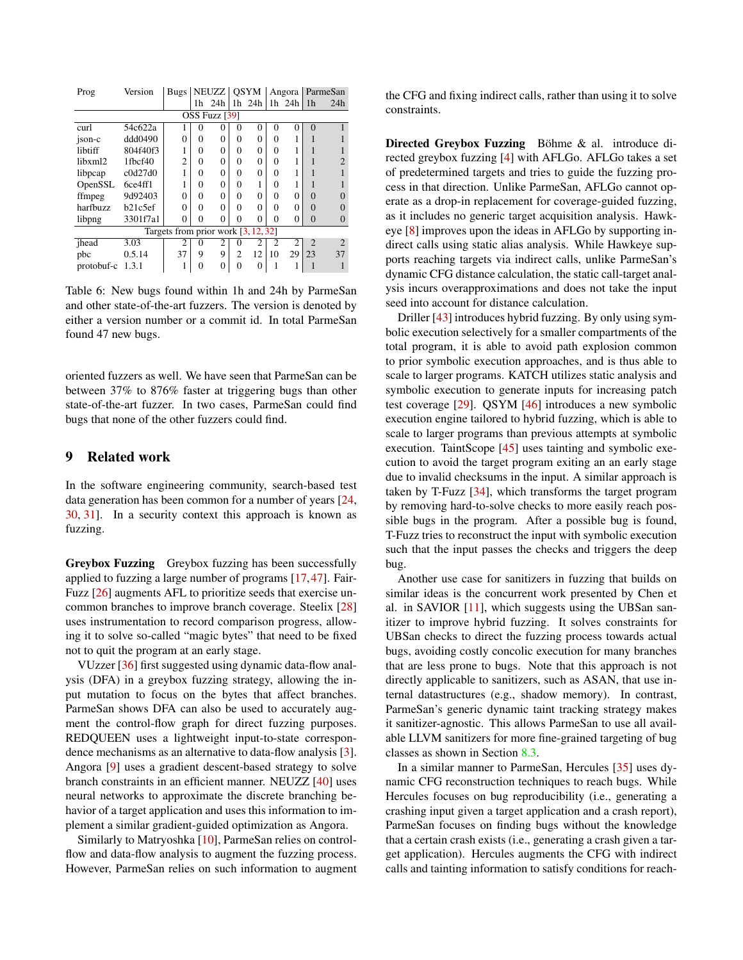| Prog       | Version                               | Bugs           |          | NEUZZ          |                | <b>OSYM</b> |                | Angora         |                | ParmeSan       |  |
|------------|---------------------------------------|----------------|----------|----------------|----------------|-------------|----------------|----------------|----------------|----------------|--|
|            |                                       |                |          | 1h 24h         |                | 1h 24h      |                | 1h 24h         | 1 <sub>h</sub> | 24h            |  |
|            |                                       |                |          | OSS Fuzz [39]  |                |             |                |                |                |                |  |
| curl       | 54c622a                               |                | 0        | 0              | 0              | $\Omega$    | $\Omega$       | 0              | $\Omega$       |                |  |
| ison-c     | ddd0490                               | 0              | $\Omega$ | 0              | 0              | $\Omega$    | $\Omega$       |                |                |                |  |
| libtiff    | 804f40f3                              | ш              | 0        | 0              | 0              | $\Omega$    | $\Omega$       |                |                |                |  |
| libxml2    | 1fbcf40                               | $\overline{c}$ | $\Omega$ | 0              | 0              | $\Omega$    | $\Omega$       |                |                |                |  |
| libpcap    | c0d27d0                               |                | 0        | 0              | 0              | 0           | $\Omega$       |                |                |                |  |
| OpenSSL    | 6ce4ff1                               |                | $\Omega$ | 0              | 0              |             | $\Omega$       |                |                |                |  |
| ffmpeg     | 9d92403                               | 0              | $\Omega$ | 0              | 0              | $\Omega$    | $\Omega$       | 0              | $\Omega$       | 0              |  |
| harfbuzz   | b21c5ef                               | 0              | 0        | 0              | 0              | $\Omega$    | $\Omega$       | 0              | $\Omega$       | $\Omega$       |  |
| libpng     | 3301f7a1                              | $\theta$       | 0        | 0              | 0              | $\Omega$    | $\Omega$       | 0              | $\Omega$       | $\Omega$       |  |
|            | Targets from prior work $[3, 12, 32]$ |                |          |                |                |             |                |                |                |                |  |
| ihead      | 3.03                                  | $\overline{c}$ | 0        | $\overline{c}$ | 0              | 2           | $\mathfrak{D}$ | $\mathfrak{D}$ | $\mathfrak{D}$ | $\mathfrak{D}$ |  |
| pbc        | 0.5.14                                | 37             | 9        | 9              | $\overline{c}$ | 12          | 10             | 29             | 23             | 37             |  |
| protobuf-c | 1.3.1                                 |                | 0        | 0              | 0              | $\Omega$    |                |                |                |                |  |

Table 6: New bugs found within 1h and 24h by ParmeSan and other state-of-the-art fuzzers. The version is denoted by either a version number or a commit id. In total ParmeSan found 47 new bugs.

oriented fuzzers as well. We have seen that ParmeSan can be between 37% to 876% faster at triggering bugs than other state-of-the-art fuzzer. In two cases, ParmeSan could find bugs that none of the other fuzzers could find.

#### 9 Related work

In the software engineering community, search-based test data generation has been common for a number of years [[24,](#page-14-15) [30,](#page-14-6) [31\]](#page-14-16). In a security context this approach is known as fuzzing.

Greybox Fuzzing Greybox fuzzing has been successfully applied to fuzzing a large number of programs [[17,](#page-14-5)[47](#page-15-1)]. Fair-Fuzz [[26\]](#page-14-17) augments AFL to prioritize seeds that exercise uncommon branches to improve branch coverage. Steelix [[28\]](#page-14-18) uses instrumentation to record comparison progress, allowing it to solve so-called "magic bytes" that need to be fixed not to quit the program at an early stage.

VUzzer [\[36](#page-15-0)] first suggested using dynamic data-flow analysis (DFA) in a greybox fuzzing strategy, allowing the input mutation to focus on the bytes that affect branches. ParmeSan shows DFA can also be used to accurately augment the control-flow graph for direct fuzzing purposes. REDQUEEN uses a lightweight input-to-state correspondence mechanisms as an alternative to data-flow analysis [\[3](#page-13-8)]. Angora [[9\]](#page-13-0) uses a gradient descent-based strategy to solve branch constraints in an efficient manner. NEUZZ [\[40](#page-15-12)] uses neural networks to approximate the discrete branching behavior of a target application and uses this information to implement a similar gradient-guided optimization as Angora.

Similarly to Matryoshka [\[10](#page-13-10)], ParmeSan relies on controlflow and data-flow analysis to augment the fuzzing process. However, ParmeSan relies on such information to augment the CFG and fixing indirect calls, rather than using it to solve constraints.

Directed Greybox Fuzzing Böhme & al. introduce directed greybox fuzzing [[4\]](#page-13-1) with AFLGo. AFLGo takes a set of predetermined targets and tries to guide the fuzzing process in that direction. Unlike ParmeSan, AFLGo cannot operate as a drop-in replacement for coverage-guided fuzzing, as it includes no generic target acquisition analysis. Hawkeye [\[8](#page-13-2)] improves upon the ideas in AFLGo by supporting indirect calls using static alias analysis. While Hawkeye supports reaching targets via indirect calls, unlike ParmeSan's dynamic CFG distance calculation, the static call-target analysis incurs overapproximations and does not take the input seed into account for distance calculation.

Driller [[43\]](#page-15-14) introduces hybrid fuzzing. By only using symbolic execution selectively for a smaller compartments of the total program, it is able to avoid path explosion common to prior symbolic execution approaches, and is thus able to scale to larger programs. KATCH utilizes static analysis and symbolic execution to generate inputs for increasing patch test coverage [\[29](#page-14-19)]. QSYM [\[46](#page-15-11)] introduces a new symbolic execution engine tailored to hybrid fuzzing, which is able to scale to larger programs than previous attempts at symbolic execution. TaintScope [\[45](#page-15-5)] uses tainting and symbolic execution to avoid the target program exiting an an early stage due to invalid checksums in the input. A similar approach is taken by T-Fuzz [\[34](#page-15-15)], which transforms the target program by removing hard-to-solve checks to more easily reach possible bugs in the program. After a possible bug is found, T-Fuzz tries to reconstruct the input with symbolic execution such that the input passes the checks and triggers the deep bug.

Another use case for sanitizers in fuzzing that builds on similar ideas is the concurrent work presented by Chen et al. in SAVIOR [[11\]](#page-13-11), which suggests using the UBSan sanitizer to improve hybrid fuzzing. It solves constraints for UBSan checks to direct the fuzzing process towards actual bugs, avoiding costly concolic execution for many branches that are less prone to bugs. Note that this approach is not directly applicable to sanitizers, such as ASAN, that use internal datastructures (e.g., shadow memory). In contrast, ParmeSan's generic dynamic taint tracking strategy makes it sanitizer-agnostic. This allows ParmeSan to use all available LLVM sanitizers for more fine-grained targeting of bug classes as shown in Section [8.3](#page-10-0).

In a similar manner to ParmeSan, Hercules [\[35](#page-15-16)] uses dynamic CFG reconstruction techniques to reach bugs. While Hercules focuses on bug reproducibility (i.e., generating a crashing input given a target application and a crash report), ParmeSan focuses on finding bugs without the knowledge that a certain crash exists (i.e., generating a crash given a target application). Hercules augments the CFG with indirect calls and tainting information to satisfy conditions for reach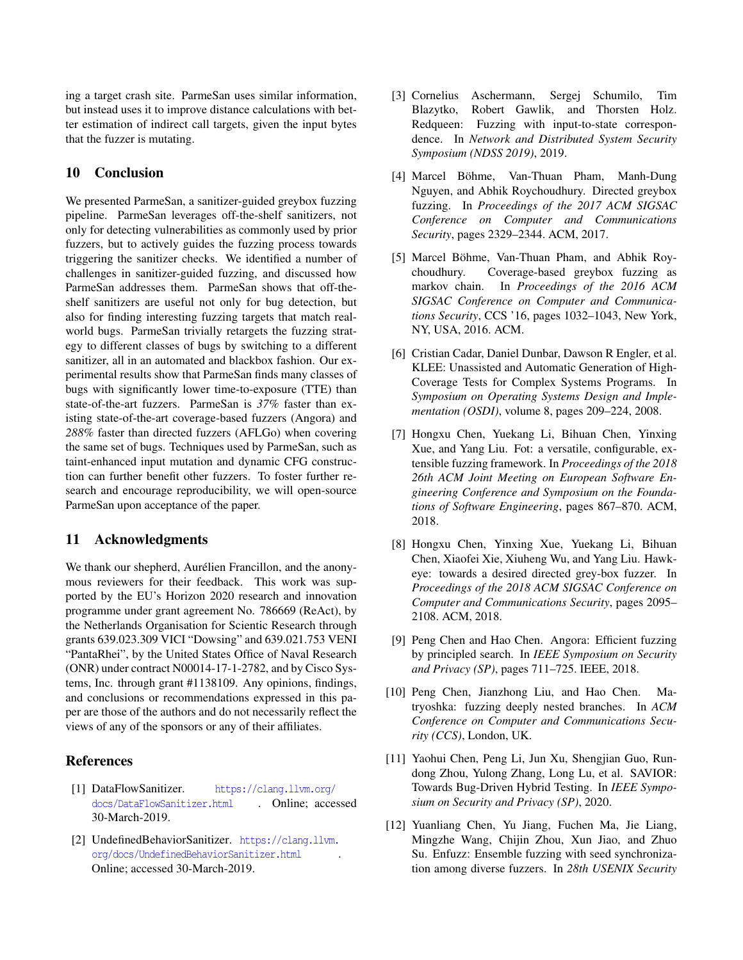ing a target crash site. ParmeSan uses similar information, but instead uses it to improve distance calculations with better estimation of indirect call targets, given the input bytes that the fuzzer is mutating.

## 10 Conclusion

We presented ParmeSan, a sanitizer-guided greybox fuzzing pipeline. ParmeSan leverages off-the-shelf sanitizers, not only for detecting vulnerabilities as commonly used by prior fuzzers, but to actively guides the fuzzing process towards triggering the sanitizer checks. We identified a number of challenges in sanitizer-guided fuzzing, and discussed how ParmeSan addresses them. ParmeSan shows that off-theshelf sanitizers are useful not only for bug detection, but also for finding interesting fuzzing targets that match realworld bugs. ParmeSan trivially retargets the fuzzing strategy to different classes of bugs by switching to a different sanitizer, all in an automated and blackbox fashion. Our experimental results show that ParmeSan finds many classes of bugs with significantly lower time-to-exposure (TTE) than state-of-the-art fuzzers. ParmeSan is *37%* faster than existing state-of-the-art coverage-based fuzzers (Angora) and *288%* faster than directed fuzzers (AFLGo) when covering the same set of bugs. Techniques used by ParmeSan, such as taint-enhanced input mutation and dynamic CFG construction can further benefit other fuzzers. To foster further research and encourage reproducibility, we will open-source ParmeSan upon acceptance of the paper.

### 11 Acknowledgments

We thank our shepherd, Aurélien Francillon, and the anonymous reviewers for their feedback. This work was supported by the EU's Horizon 2020 research and innovation programme under grant agreement No. 786669 (ReAct), by the Netherlands Organisation for Scientic Research through grants 639.023.309 VICI "Dowsing" and 639.021.753 VENI "PantaRhei", by the United States Office of Naval Research (ONR) under contract N00014-17-1-2782, and by Cisco Systems, Inc. through grant #1138109. Any opinions, findings, and conclusions or recommendations expressed in this paper are those of the authors and do not necessarily reflect the views of any of the sponsors or any of their affiliates.

### References

- <span id="page-13-6"></span>[1] DataFlowSanitizer. [https://clang.llvm.org/](https://clang.llvm.org/docs/DataFlowSanitizer.html) [docs/DataFlowSanitizer.html](https://clang.llvm.org/docs/DataFlowSanitizer.html) . Online; accessed 30-March-2019.
- <span id="page-13-7"></span>[2] UndefinedBehaviorSanitizer. [https://clang.llvm.](https://clang.llvm.org/docs/UndefinedBehaviorSanitizer.html) [org/docs/UndefinedBehaviorSanitizer.html](https://clang.llvm.org/docs/UndefinedBehaviorSanitizer.html) . Online; accessed 30-March-2019.
- <span id="page-13-8"></span>[3] Cornelius Aschermann, Sergej Schumilo, Tim Blazytko, Robert Gawlik, and Thorsten Holz. Redqueen: Fuzzing with input-to-state correspondence. In *Network and Distributed System Security Symposium (NDSS 2019)*, 2019.
- <span id="page-13-1"></span>[4] Marcel Böhme, Van-Thuan Pham, Manh-Dung Nguyen, and Abhik Roychoudhury. Directed greybox fuzzing. In *Proceedings of the 2017 ACM SIGSAC Conference on Computer and Communications Security*, pages 2329–2344. ACM, 2017.
- <span id="page-13-4"></span>[5] Marcel Böhme, Van-Thuan Pham, and Abhik Roychoudhury. Coverage-based greybox fuzzing as markov chain. In *Proceedings of the 2016 ACM SIGSAC Conference on Computer and Communications Security*, CCS '16, pages 1032–1043, New York, NY, USA, 2016. ACM.
- <span id="page-13-3"></span>[6] Cristian Cadar, Daniel Dunbar, Dawson R Engler, et al. KLEE: Unassisted and Automatic Generation of High-Coverage Tests for Complex Systems Programs. In *Symposium on Operating Systems Design and Implementation (OSDI)*, volume 8, pages 209–224, 2008.
- <span id="page-13-5"></span>[7] Hongxu Chen, Yuekang Li, Bihuan Chen, Yinxing Xue, and Yang Liu. Fot: a versatile, configurable, extensible fuzzing framework. In *Proceedings of the 2018 26th ACM Joint Meeting on European Software Engineering Conference and Symposium on the Foundations of Software Engineering*, pages 867–870. ACM, 2018.
- <span id="page-13-2"></span>[8] Hongxu Chen, Yinxing Xue, Yuekang Li, Bihuan Chen, Xiaofei Xie, Xiuheng Wu, and Yang Liu. Hawkeye: towards a desired directed grey-box fuzzer. In *Proceedings of the 2018 ACM SIGSAC Conference on Computer and Communications Security*, pages 2095– 2108. ACM, 2018.
- <span id="page-13-0"></span>[9] Peng Chen and Hao Chen. Angora: Efficient fuzzing by principled search. In *IEEE Symposium on Security and Privacy (SP)*, pages 711–725. IEEE, 2018.
- <span id="page-13-10"></span>[10] Peng Chen, Jianzhong Liu, and Hao Chen. Matryoshka: fuzzing deeply nested branches. In *ACM Conference on Computer and Communications Security (CCS)*, London, UK.
- <span id="page-13-11"></span>[11] Yaohui Chen, Peng Li, Jun Xu, Shengjian Guo, Rundong Zhou, Yulong Zhang, Long Lu, et al. SAVIOR: Towards Bug-Driven Hybrid Testing. In *IEEE Symposium on Security and Privacy (SP)*, 2020.
- <span id="page-13-9"></span>[12] Yuanliang Chen, Yu Jiang, Fuchen Ma, Jie Liang, Mingzhe Wang, Chijin Zhou, Xun Jiao, and Zhuo Su. Enfuzz: Ensemble fuzzing with seed synchronization among diverse fuzzers. In *28th USENIX Security*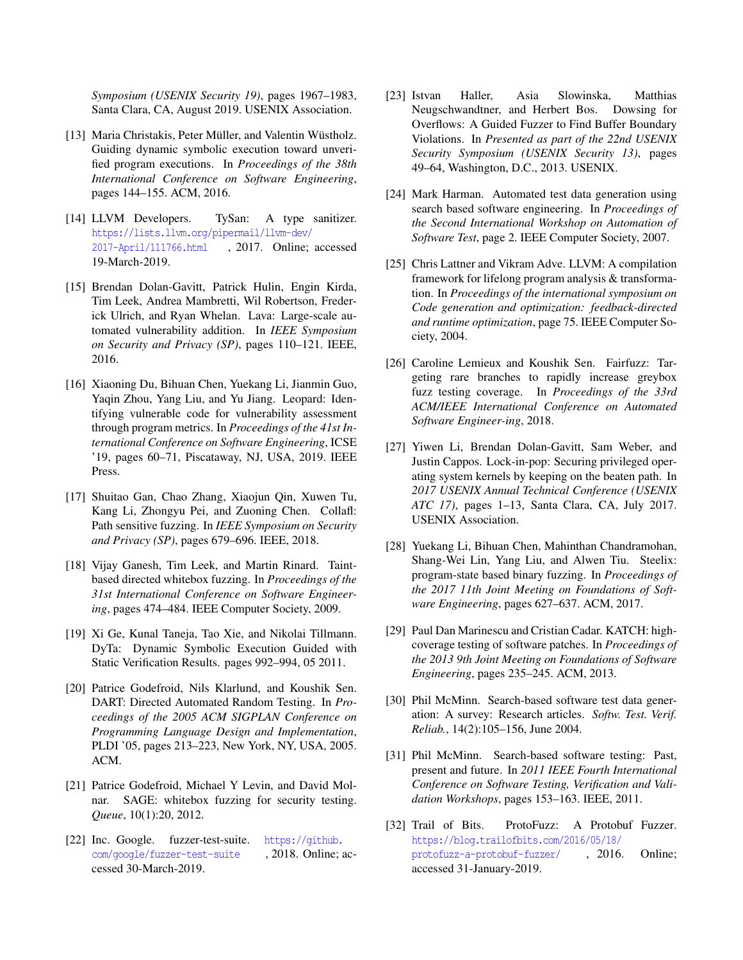*Symposium (USENIX Security 19)*, pages 1967–1983, Santa Clara, CA, August 2019. USENIX Association.

- <span id="page-14-7"></span>[13] Maria Christakis, Peter Müller, and Valentin Wüstholz. Guiding dynamic symbolic execution toward unverified program executions. In *Proceedings of the 38th International Conference on Software Engineering*, pages 144–155. ACM, 2016.
- <span id="page-14-3"></span>[14] LLVM Developers. TySan: A type sanitizer. [https://lists.llvm.org/pipermail/llvm-dev/](https://lists.llvm.org/pipermail/llvm-dev/2017-April/111766.html) [2017-April/111766.html](https://lists.llvm.org/pipermail/llvm-dev/2017-April/111766.html) , 2017. Online; accessed 19-March-2019.
- <span id="page-14-12"></span>[15] Brendan Dolan-Gavitt, Patrick Hulin, Engin Kirda, Tim Leek, Andrea Mambretti, Wil Robertson, Frederick Ulrich, and Ryan Whelan. Lava: Large-scale automated vulnerability addition. In *IEEE Symposium on Security and Privacy (SP)*, pages 110–121. IEEE, 2016.
- <span id="page-14-10"></span>[16] Xiaoning Du, Bihuan Chen, Yuekang Li, Jianmin Guo, Yaqin Zhou, Yang Liu, and Yu Jiang. Leopard: Identifying vulnerable code for vulnerability assessment through program metrics. In *Proceedings of the 41st International Conference on Software Engineering*, ICSE '19, pages 60–71, Piscataway, NJ, USA, 2019. IEEE Press.
- <span id="page-14-5"></span>[17] Shuitao Gan, Chao Zhang, Xiaojun Qin, Xuwen Tu, Kang Li, Zhongyu Pei, and Zuoning Chen. Collafl: Path sensitive fuzzing. In *IEEE Symposium on Security and Privacy (SP)*, pages 679–696. IEEE, 2018.
- <span id="page-14-8"></span>[18] Vijay Ganesh, Tim Leek, and Martin Rinard. Taintbased directed whitebox fuzzing. In *Proceedings of the 31st International Conference on Software Engineering*, pages 474–484. IEEE Computer Society, 2009.
- <span id="page-14-9"></span>[19] Xi Ge, Kunal Taneja, Tao Xie, and Nikolai Tillmann. DyTa: Dynamic Symbolic Execution Guided with Static Verification Results. pages 992–994, 05 2011.
- <span id="page-14-0"></span>[20] Patrice Godefroid, Nils Klarlund, and Koushik Sen. DART: Directed Automated Random Testing. In *Proceedings of the 2005 ACM SIGPLAN Conference on Programming Language Design and Implementation*, PLDI '05, pages 213–223, New York, NY, USA, 2005. ACM.
- <span id="page-14-4"></span>[21] Patrice Godefroid, Michael Y Levin, and David Molnar. SAGE: whitebox fuzzing for security testing. *Queue*, 10(1):20, 2012.
- <span id="page-14-13"></span>[22] Inc. Google. fuzzer-test-suite. [https://github.](https://github.com/google/fuzzer-test-suite) [com/google/fuzzer-test-suite](https://github.com/google/fuzzer-test-suite) , 2018. Online; accessed 30-March-2019.
- <span id="page-14-1"></span>[23] Istvan Haller, Asia Slowinska, Matthias Neugschwandtner, and Herbert Bos. Dowsing for Overflows: A Guided Fuzzer to Find Buffer Boundary Violations. In *Presented as part of the 22nd USENIX Security Symposium (USENIX Security 13)*, pages 49–64, Washington, D.C., 2013. USENIX.
- <span id="page-14-15"></span>[24] Mark Harman. Automated test data generation using search based software engineering. In *Proceedings of the Second International Workshop on Automation of Software Test*, page 2. IEEE Computer Society, 2007.
- <span id="page-14-2"></span>[25] Chris Lattner and Vikram Adve. LLVM: A compilation framework for lifelong program analysis & transformation. In *Proceedings of the international symposium on Code generation and optimization: feedback-directed and runtime optimization*, page 75. IEEE Computer Society, 2004.
- <span id="page-14-17"></span>[26] Caroline Lemieux and Koushik Sen. Fairfuzz: Targeting rare branches to rapidly increase greybox fuzz testing coverage. In *Proceedings of the 33rd ACM/IEEE International Conference on Automated Software Engineer-ing*, 2018.
- <span id="page-14-11"></span>[27] Yiwen Li, Brendan Dolan-Gavitt, Sam Weber, and Justin Cappos. Lock-in-pop: Securing privileged operating system kernels by keeping on the beaten path. In *2017 USENIX Annual Technical Conference (USENIX ATC 17)*, pages 1–13, Santa Clara, CA, July 2017. USENIX Association.
- <span id="page-14-18"></span>[28] Yuekang Li, Bihuan Chen, Mahinthan Chandramohan, Shang-Wei Lin, Yang Liu, and Alwen Tiu. Steelix: program-state based binary fuzzing. In *Proceedings of the 2017 11th Joint Meeting on Foundations of Software Engineering*, pages 627–637. ACM, 2017.
- <span id="page-14-19"></span>[29] Paul Dan Marinescu and Cristian Cadar. KATCH: highcoverage testing of software patches. In *Proceedings of the 2013 9th Joint Meeting on Foundations of Software Engineering*, pages 235–245. ACM, 2013.
- <span id="page-14-6"></span>[30] Phil McMinn. Search-based software test data generation: A survey: Research articles. *Softw. Test. Verif. Reliab.*, 14(2):105–156, June 2004.
- <span id="page-14-16"></span>[31] Phil McMinn. Search-based software testing: Past, present and future. In *2011 IEEE Fourth International Conference on Software Testing, Verification and Validation Workshops*, pages 153–163. IEEE, 2011.
- <span id="page-14-14"></span>[32] Trail of Bits. ProtoFuzz: A Protobuf Fuzzer. [https://blog.trailofbits.com/2016/05/18/](https://blog.trailofbits.com/2016/05/18/protofuzz-a-protobuf-fuzzer/) [protofuzz-a-protobuf-fuzzer/](https://blog.trailofbits.com/2016/05/18/protofuzz-a-protobuf-fuzzer/) , 2016. Online; accessed 31-January-2019.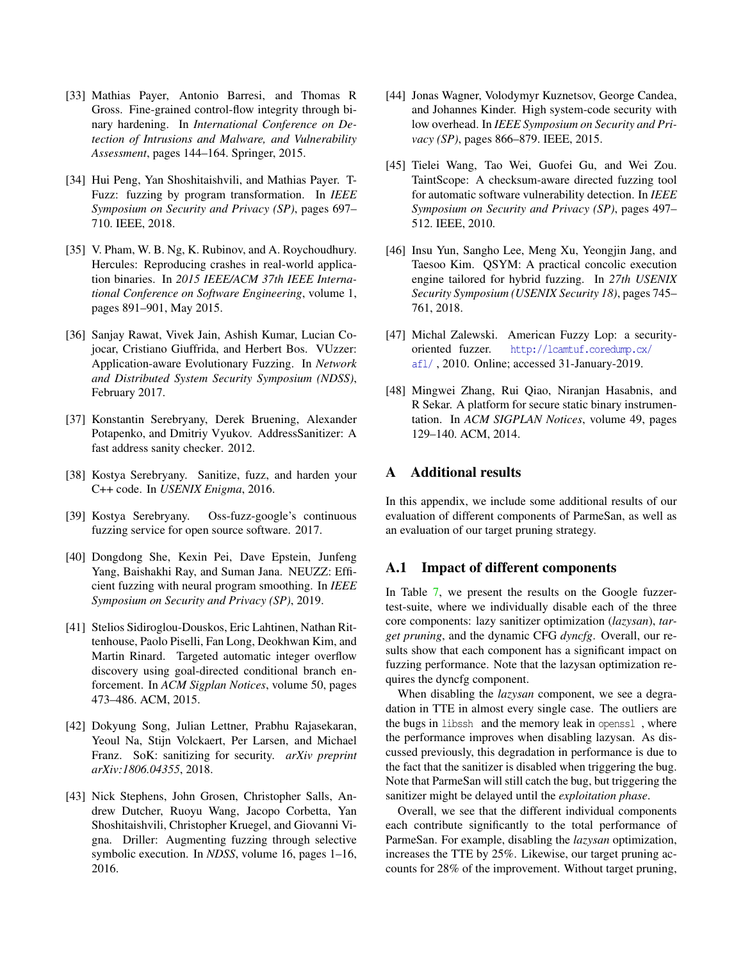- <span id="page-15-8"></span>[33] Mathias Payer, Antonio Barresi, and Thomas R Gross. Fine-grained control-flow integrity through binary hardening. In *International Conference on Detection of Intrusions and Malware, and Vulnerability Assessment*, pages 144–164. Springer, 2015.
- <span id="page-15-15"></span>[34] Hui Peng, Yan Shoshitaishvili, and Mathias Payer. T-Fuzz: fuzzing by program transformation. In *IEEE Symposium on Security and Privacy (SP)*, pages 697– 710. IEEE, 2018.
- <span id="page-15-16"></span>[35] V. Pham, W. B. Ng, K. Rubinov, and A. Roychoudhury. Hercules: Reproducing crashes in real-world application binaries. In *2015 IEEE/ACM 37th IEEE International Conference on Software Engineering*, volume 1, pages 891–901, May 2015.
- <span id="page-15-0"></span>[36] Sanjay Rawat, Vivek Jain, Ashish Kumar, Lucian Cojocar, Cristiano Giuffrida, and Herbert Bos. VUzzer: Application-aware Evolutionary Fuzzing. In *Network and Distributed System Security Symposium (NDSS)*, February 2017.
- <span id="page-15-3"></span>[37] Konstantin Serebryany, Derek Bruening, Alexander Potapenko, and Dmitriy Vyukov. AddressSanitizer: A fast address sanity checker. 2012.
- <span id="page-15-2"></span>[38] Kostya Serebryany. Sanitize, fuzz, and harden your C++ code. In *USENIX Enigma*, 2016.
- <span id="page-15-13"></span>[39] Kostya Serebryany. Oss-fuzz-google's continuous fuzzing service for open source software. 2017.
- <span id="page-15-12"></span>[40] Dongdong She, Kexin Pei, Dave Epstein, Junfeng Yang, Baishakhi Ray, and Suman Jana. NEUZZ: Efficient fuzzing with neural program smoothing. In *IEEE Symposium on Security and Privacy (SP)*, 2019.
- <span id="page-15-4"></span>[41] Stelios Sidiroglou-Douskos, Eric Lahtinen, Nathan Rittenhouse, Paolo Piselli, Fan Long, Deokhwan Kim, and Martin Rinard. Targeted automatic integer overflow discovery using goal-directed conditional branch enforcement. In *ACM Sigplan Notices*, volume 50, pages 473–486. ACM, 2015.
- <span id="page-15-6"></span>[42] Dokyung Song, Julian Lettner, Prabhu Rajasekaran, Yeoul Na, Stijn Volckaert, Per Larsen, and Michael Franz. SoK: sanitizing for security. *arXiv preprint arXiv:1806.04355*, 2018.
- <span id="page-15-14"></span>[43] Nick Stephens, John Grosen, Christopher Salls, Andrew Dutcher, Ruoyu Wang, Jacopo Corbetta, Yan Shoshitaishvili, Christopher Kruegel, and Giovanni Vigna. Driller: Augmenting fuzzing through selective symbolic execution. In *NDSS*, volume 16, pages 1–16, 2016.
- <span id="page-15-7"></span>[44] Jonas Wagner, Volodymyr Kuznetsov, George Candea, and Johannes Kinder. High system-code security with low overhead. In *IEEE Symposium on Security and Privacy (SP)*, pages 866–879. IEEE, 2015.
- <span id="page-15-5"></span>[45] Tielei Wang, Tao Wei, Guofei Gu, and Wei Zou. TaintScope: A checksum-aware directed fuzzing tool for automatic software vulnerability detection. In *IEEE Symposium on Security and Privacy (SP)*, pages 497– 512. IEEE, 2010.
- <span id="page-15-11"></span>[46] Insu Yun, Sangho Lee, Meng Xu, Yeongjin Jang, and Taesoo Kim. QSYM: A practical concolic execution engine tailored for hybrid fuzzing. In *27th USENIX Security Symposium (USENIX Security 18)*, pages 745– 761, 2018.
- <span id="page-15-1"></span>[47] Michal Zalewski. American Fuzzy Lop: a securityoriented fuzzer. [http://lcamtuf.coredump.cx/](http://lcamtuf.coredump.cx/afl/) [afl/](http://lcamtuf.coredump.cx/afl/) , 2010. Online; accessed 31-January-2019.
- <span id="page-15-9"></span>[48] Mingwei Zhang, Rui Qiao, Niranjan Hasabnis, and R Sekar. A platform for secure static binary instrumentation. In *ACM SIGPLAN Notices*, volume 49, pages 129–140. ACM, 2014.

### <span id="page-15-10"></span>A Additional results

In this appendix, we include some additional results of our evaluation of different components of ParmeSan, as well as an evaluation of our target pruning strategy.

### A.1 Impact of different components

In Table [7,](#page-16-1) we present the results on the Google fuzzertest-suite, where we individually disable each of the three core components: lazy sanitizer optimization (*lazysan*), *target pruning*, and the dynamic CFG *dyncfg*. Overall, our results show that each component has a significant impact on fuzzing performance. Note that the lazysan optimization requires the dyncfg component.

When disabling the *lazysan* component, we see a degradation in TTE in almost every single case. The outliers are the bugs in libssh and the memory leak in openssl , where the performance improves when disabling lazysan. As discussed previously, this degradation in performance is due to the fact that the sanitizer is disabled when triggering the bug. Note that ParmeSan will still catch the bug, but triggering the sanitizer might be delayed until the *exploitation phase*.

Overall, we see that the different individual components each contribute significantly to the total performance of ParmeSan. For example, disabling the *lazysan* optimization, increases the TTE by 25%. Likewise, our target pruning accounts for 28% of the improvement. Without target pruning,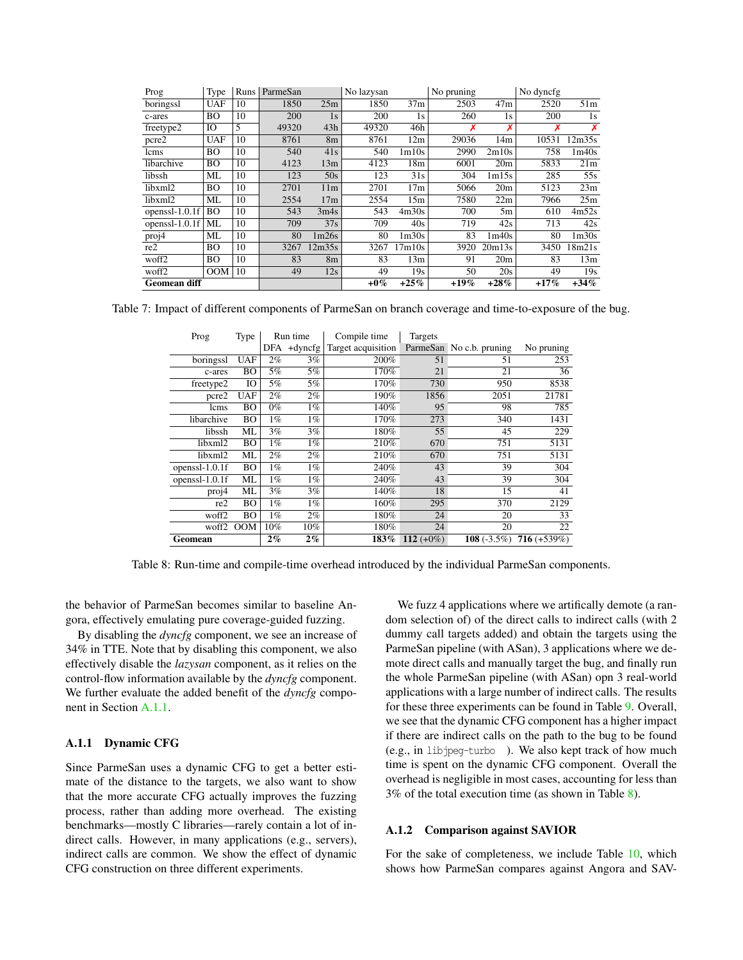<span id="page-16-1"></span>

| Prog                | Type       | Runs | ParmeSan |                 | No lazysan |                   | No pruning |                 | No dyncfg |                   |
|---------------------|------------|------|----------|-----------------|------------|-------------------|------------|-----------------|-----------|-------------------|
| boringssl           | <b>UAF</b> | 10   | 1850     | 25m             | 1850       | 37m               | 2503       | 47m             | 2520      | 51 <sub>m</sub>   |
| c-ares              | <b>BO</b>  | 10   | 200      | 1s              | 200        | 1s                | 260        | 1s              | 200       | 1s                |
| freetype2           | IO         | 5    | 49320    | 43h             | 49320      | 46h               | Х          | Х               |           | X                 |
| pcre2               | <b>UAF</b> | 10   | 8761     | 8 <sub>m</sub>  | 8761       | 12m               | 29036      | 14m             | 10531     | 12m35s            |
| lcms                | <b>BO</b>  | 10   | 540      | 41s             | 540        | 1 <sub>m10s</sub> | 2990       | 2m10s           | 758       | 1m40s             |
| libarchive          | <b>BO</b>  | 10   | 4123     | 13m             | 4123       | 18 <sub>m</sub>   | 6001       | 20 <sub>m</sub> | 5833      | 21m               |
| libssh              | ML         | 10   | 123      | 50s             | 123        | 31s               | 304        | 1m15s           | 285       | 55s               |
| libxml2             | BO         | 10   | 2701     | 11 <sub>m</sub> | 2701       | 17 <sub>m</sub>   | 5066       | 20m             | 5123      | 23m               |
| libxml2             | ML         | 10   | 2554     | 17m             | 2554       | 15m               | 7580       | 22m             | 7966      | 25m               |
| openssl $-1.0.1f$   | <b>BO</b>  | 10   | 543      | 3m4s            | 543        | 4m30s             | 700        | 5m              | 610       | 4m52s             |
| openssl- $1.0.1f$   | ML         | 10   | 709      | 37s             | 709        | 40s               | 719        | 42s             | 713       | 42s               |
| proj4               | ML         | 10   | 80       | 1m26s           | 80         | 1 <sub>m30s</sub> | 83         | 1m40s           | 80        | 1 <sub>m30s</sub> |
| re2                 | <b>BO</b>  | 10   | 3267     | 12m35s          | 3267       | 17m10s            | 3920       | 20m13s          | 3450      | 18m21s            |
| woff2               | <b>BO</b>  | 10   | 83       | 8 <sub>m</sub>  | 83         | 13m               | 91         | 20 <sub>m</sub> | 83        | 13m               |
| woff2               | OM         | 10   | 49       | 12s             | 49         | 19s               | 50         | 20s             | 49        | 19s               |
| <b>Geomean diff</b> |            |      |          |                 | $+0\%$     | $+25%$            | $+19%$     | $+28%$          | $+17%$    | $+34%$            |

<span id="page-16-0"></span>Table 7: Impact of different components of ParmeSan on branch coverage and time-to-exposure of the bug.

| Prog              | Type       | Run time |            | Compile time       | Targets      |                          |                |
|-------------------|------------|----------|------------|--------------------|--------------|--------------------------|----------------|
|                   |            | DFA      | $+$ dyncfg | Target acquisition |              | ParmeSan No c.b. pruning | No pruning     |
| boringssl         | <b>UAF</b> | $2\%$    | 3%         | 200%               | 51           | 51                       | 253            |
| c-ares            | BO         | 5%       | 5%         | 170%               | 21           | 21                       | 36             |
| freetype2         | IO         | 5%       | 5%         | 170%               | 730          | 950                      | 8538           |
| pcre2             | <b>UAF</b> | $2\%$    | $2\%$      | 190%               | 1856         | 2051                     | 21781          |
| lcms              | BO         | $0\%$    | $1\%$      | 140%               | 95           | 98                       | 785            |
| libarchive        | BО         | 1%       | $1\%$      | 170%               | 273          | 340                      | 1431           |
| libssh            | ML         | 3%       | 3%         | 180%               | 55           | 45                       | 229            |
| libxml2           | BO         | 1%       | $1\%$      | 210%               | 670          | 751                      | 5131           |
| libxml2           | ML         | 2%       | 2%         | 210%               | 670          | 751                      | 5131           |
| openss $l-1.0.1f$ | BO         | 1%       | $1\%$      | 240%               | 43           | 39                       | 304            |
| openssl-1.0.1f    | ML         | $1\%$    | $1\%$      | 240%               | 43           | 39                       | 304            |
| proj4             | ML         | 3%       | 3%         | 140%               | 18           | 15                       | 41             |
| re2               | BO         | $1\%$    | $1\%$      | 160%               | 295          | 370                      | 2129           |
| woff <sub>2</sub> | BO         | $1\%$    | $2\%$      | 180%               | 24           | 20                       | 33             |
| woff <sub>2</sub> | <b>OOM</b> | $10\%$   | 10%        | 180%               | 24           | 20                       | 22             |
| Geomean           |            | $2\%$    | $2\%$      | 183%               | 112 $(+0\%)$ | 108 $(-3.5\%)$           | $716 (+539\%)$ |

Table 8: Run-time and compile-time overhead introduced by the individual ParmeSan components.

the behavior of ParmeSan becomes similar to baseline Angora, effectively emulating pure coverage-guided fuzzing.

By disabling the *dyncfg* component, we see an increase of 34% in TTE. Note that by disabling this component, we also effectively disable the *lazysan* component, as it relies on the control-flow information available by the *dyncfg* component. We further evaluate the added benefit of the *dyncfg* component in Section [A.1.1](#page-16-2).

#### <span id="page-16-2"></span>A.1.1 Dynamic CFG

Since ParmeSan uses a dynamic CFG to get a better estimate of the distance to the targets, we also want to show that the more accurate CFG actually improves the fuzzing process, rather than adding more overhead. The existing benchmarks—mostly C libraries—rarely contain a lot of indirect calls. However, in many applications (e.g., servers), indirect calls are common. We show the effect of dynamic CFG construction on three different experiments.

We fuzz 4 applications where we artifically demote (a random selection of) of the direct calls to indirect calls (with 2 dummy call targets added) and obtain the targets using the ParmeSan pipeline (with ASan), 3 applications where we demote direct calls and manually target the bug, and finally run the whole ParmeSan pipeline (with ASan) opn 3 real-world applications with a large number of indirect calls. The results for these three experiments can be found in Table [9](#page-17-0). Overall, we see that the dynamic CFG component has a higher impact if there are indirect calls on the path to the bug to be found (e.g., in libjpeg-turbo ). We also kept track of how much time is spent on the dynamic CFG component. Overall the overhead is negligible in most cases, accounting for less than 3% of the total execution time (as shown in Table [8](#page-16-0)).

#### A.1.2 Comparison against SAVIOR

For the sake of completeness, we include Table [10](#page-17-1), which shows how ParmeSan compares against Angora and SAV-